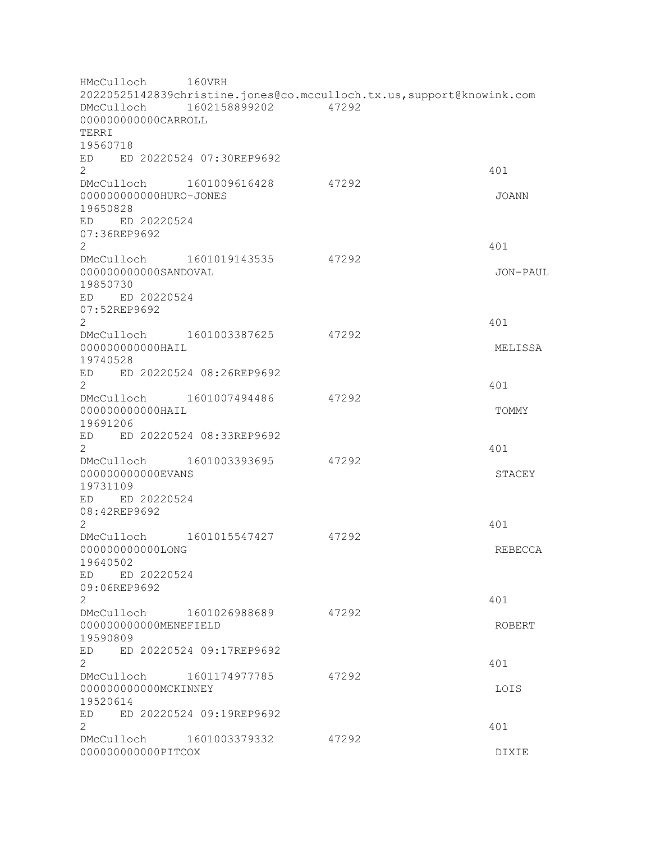HMcCulloch 160VRH 20220525142839christine.jones@co.mcculloch.tx.us,support@knowink.com DMcCulloch 1602158899202 47292 000000000000CARROLL TERRI 19560718 ED ED 20220524 07:30REP9692  $2<sup>2</sup>$ DMcCulloch 1601009616428 47292 000000000000HURO-JONES JOANN 19650828 ED ED 20220524 07:36REP9692 2 401 DMcCulloch 1601019143535 47292 000000000000SANDOVAL JON-PAUL 19850730 ED ED 20220524 07:52REP9692  $2<sup>2</sup>$ DMcCulloch 1601003387625 47292 000000000000HAIL MELISSA 19740528 ED ED 20220524 08:26REP9692  $2 \times 401$ DMcCulloch 1601007494486 47292 000000000000HAIL TOMMY 19691206 ED ED 20220524 08:33REP9692  $2<sup>2</sup>$ DMcCulloch 1601003393695 47292 000000000000EVANS STACEY 19731109 ED ED 20220524 08:42REP9692  $2 \times 401$ DMcCulloch 1601015547427 47292 000000000000LONG REBECCA 19640502 ED ED 20220524 09:06REP9692 2 a contract a contract of the contract of the contract of the contract of the contract of the contract of the contract of the contract of the contract of the contract of the contract of the contract of the contract of the DMcCulloch 1601026988689 47292 000000000000MENEFIELD ROBERT 19590809 ED ED 20220524 09:17REP9692 2 401 DMcCulloch 1601174977785 47292 000000000000MCKINNEY LOIS 19520614 ED ED 20220524 09:19REP9692  $2<sup>2</sup>$ DMcCulloch 1601003379332 47292 000000000000PITCOX DIXIE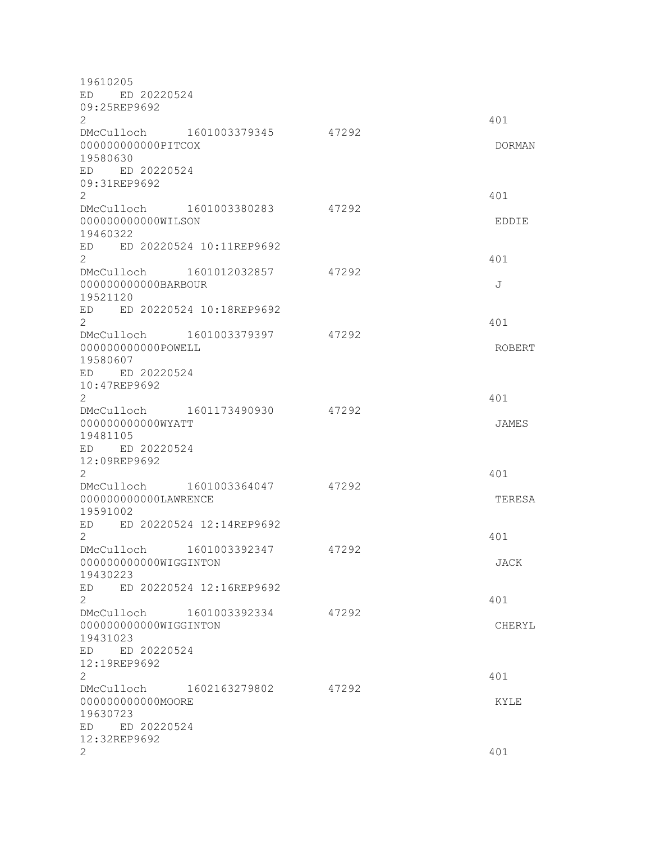19610205 ED ED 20220524 09:25REP9692  $2<sup>2</sup>$ DMcCulloch 1601003379345 47292 000000000000PITCOX DORMAN 19580630 ED ED 20220524 09:31REP9692 2 401 DMcCulloch 1601003380283 47292 000000000000WILSON EDDIE 19460322 ED ED 20220524 10:11REP9692  $2 \times 401$ DMcCulloch 1601012032857 47292 000000000000BARBOUR J 19521120 ED ED 20220524 10:18REP9692  $2<sup>2</sup>$ DMcCulloch 1601003379397 47292 000000000000POWELL ROBERT 19580607 ED ED 20220524 10:47REP9692  $2<sup>2</sup>$ DMcCulloch 1601173490930 47292 000000000000WYATT JAMES 19481105 ED ED 20220524 12:09REP9692 2 401 DMcCulloch 1601003364047 47292 000000000000LAWRENCE TERESA 19591002 ED ED 20220524 12:14REP9692  $2<sup>2</sup>$ DMcCulloch 1601003392347 47292 000000000000WIGGINTON JACK 19430223 ED ED 20220524 12:16REP9692  $2<sup>2</sup>$ DMcCulloch 1601003392334 47292 000000000000WIGGINTON CHERYL 19431023 ED ED 20220524 12:19REP9692  $2 \times 401$ DMcCulloch 1602163279802 47292 000000000000MOORE KYLE 19630723 ED ED 20220524 12:32REP9692  $2 \times 401$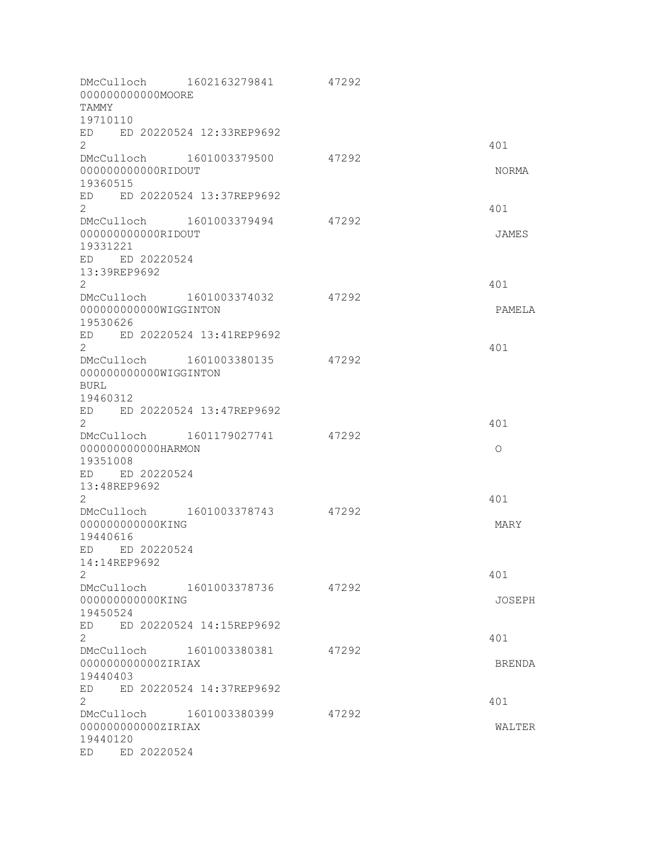| 00000000000MOORE<br>TAMMY                                                                                            | DMcCulloch 1602163279841                  | 47292 |                |
|----------------------------------------------------------------------------------------------------------------------|-------------------------------------------|-------|----------------|
| 19710110<br>ED ED 20220524 12:33REP9692<br>$\overline{2}$                                                            |                                           |       | 401            |
| DMcCulloch 1601003379500<br>000000000000RIDOUT<br>19360515                                                           |                                           | 47292 | NORMA          |
| ED<br>$\overline{2}$                                                                                                 | ED 20220524 13:37REP9692                  |       | 401            |
| DMcCulloch 1601003379494<br>00000000000RIDOUT<br>19331221<br>ED ED 20220524<br>13:39REP9692<br>$\mathbf{2}^{\prime}$ |                                           | 47292 | JAMES<br>401   |
| DMcCulloch 1601003374032<br>000000000000WIGGINTON<br>19530626<br>ED                                                  | ED 20220524 13:41REP9692                  | 47292 | PAMELA         |
| $\mathbf{2}^{\prime}$<br>DMcCulloch 1601003380135<br>000000000000WIGGINTON<br><b>BURL</b>                            |                                           | 47292 | 401            |
| 19460312<br>ED ED 20220524 13:47REP9692<br>2<br>000000000000HARMON<br>19351008                                       | DMcCulloch 1601179027741                  | 47292 | 401<br>$\circ$ |
| ED ED 20220524<br>13:48REP9692<br>2<br>DMcCulloch 1601003378743<br>000000000000KING<br>19440616                      |                                           | 47292 | 401<br>MARY    |
| ED ED 20220524<br>14:14REP9692<br>2<br>DMcCulloch 1601003378736<br>000000000000KING<br>19450524                      |                                           | 47292 | 401<br>JOSEPH  |
| ED.<br>$\overline{2}$<br>DMcCulloch<br>000000000000ZIRIAX<br>19440403                                                | ED 20220524 14:15REP9692<br>1601003380381 | 47292 | 401<br>BRENDA  |
| ED.<br>2<br>DMcCulloch<br>000000000000ZIRIAX<br>19440120<br>ED 20220524<br>ED.                                       | ED 20220524 14:37REP9692<br>1601003380399 | 47292 | 401<br>WALTER  |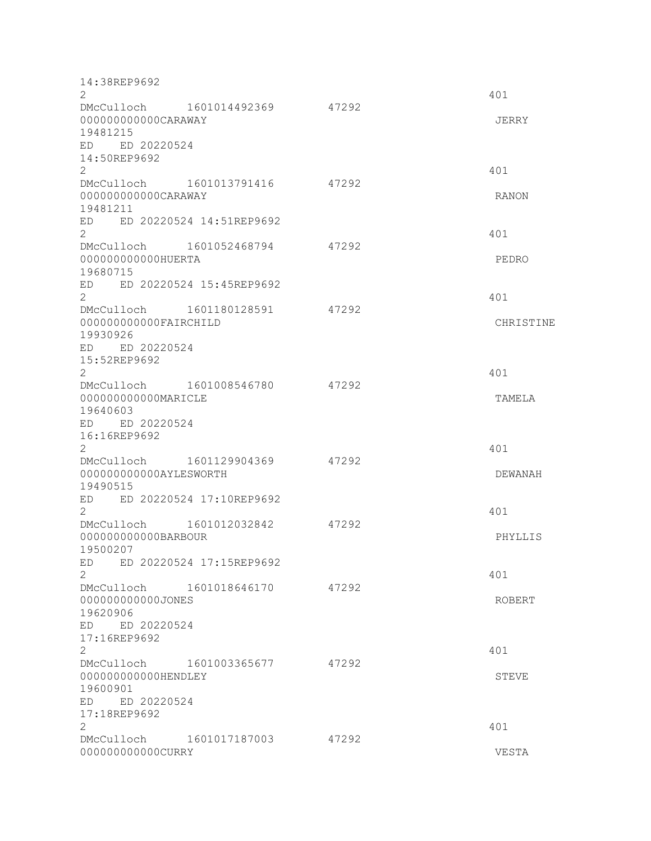| 14:38REP9692<br>$\overline{2}$                |                          |       | 401          |
|-----------------------------------------------|--------------------------|-------|--------------|
| DMcCulloch 1601014492369                      |                          | 47292 |              |
| 000000000000CARAWAY<br>19481215               |                          |       | JERRY        |
| ED ED 20220524                                |                          |       |              |
| 14:50REP9692                                  |                          |       |              |
| $\overline{2}$<br>DMcCulloch                  | 1601013791416            | 47292 | 401          |
| 000000000000CARAWAY                           |                          |       | <b>RANON</b> |
| 19481211                                      |                          |       |              |
| ED<br>$\overline{2}$                          | ED 20220524 14:51REP9692 |       |              |
| DMcCulloch 1601052468794                      |                          | 47292 | 401          |
| 000000000000HUERTA                            |                          |       | PEDRO        |
| 19680715                                      |                          |       |              |
| ED<br>$\overline{2}$                          | ED 20220524 15:45REP9692 |       | 401          |
| DMcCulloch 1601180128591                      |                          | 47292 |              |
| 000000000000FAIRCHILD<br>19930926             |                          |       | CHRISTINE    |
| ED ED 20220524                                |                          |       |              |
| 15:52REP9692<br>$\overline{2}$                |                          |       | 401          |
| DMcCulloch 1601008546780                      |                          | 47292 |              |
| 000000000000MARICLE                           |                          |       | TAMELA       |
| 19640603                                      |                          |       |              |
| ED ED 20220524<br>16:16REP9692                |                          |       |              |
| $\mathbf{2}^{\prime}$                         |                          |       | 401          |
| DMcCulloch                                    | 1601129904369            | 47292 |              |
| 000000000000AYLESWORTH<br>19490515            |                          |       | DEWANAH      |
| ED ED 20220524 17:10REP9692                   |                          |       |              |
| $\overline{2}$                                |                          |       | 401          |
| DMcCulloch<br>000000000000BARBOUR             | 1601012032842            | 47292 | PHYLLIS      |
| 19500207                                      |                          |       |              |
| ED                                            | ED 20220524 17:15REP9692 |       |              |
| $\overline{2}$<br>DMcCulloch 1601018646170    |                          | 47292 | 401          |
| 000000000000JONES                             |                          |       | ROBERT       |
| 19620906                                      |                          |       |              |
| ED ED 20220524                                |                          |       |              |
| 17:16REP9692<br>$\overline{2}$                |                          |       | 401          |
| DMcCulloch 1601003365677                      |                          | 47292 |              |
| 000000000000HENDLEY                           |                          |       | STEVE        |
| 19600901<br>ED ED 20220524                    |                          |       |              |
| 17:18REP9692                                  |                          |       |              |
| 2                                             |                          |       | 401          |
| DMcCulloch 1601017187003<br>000000000000CURRY |                          | 47292 | VESTA        |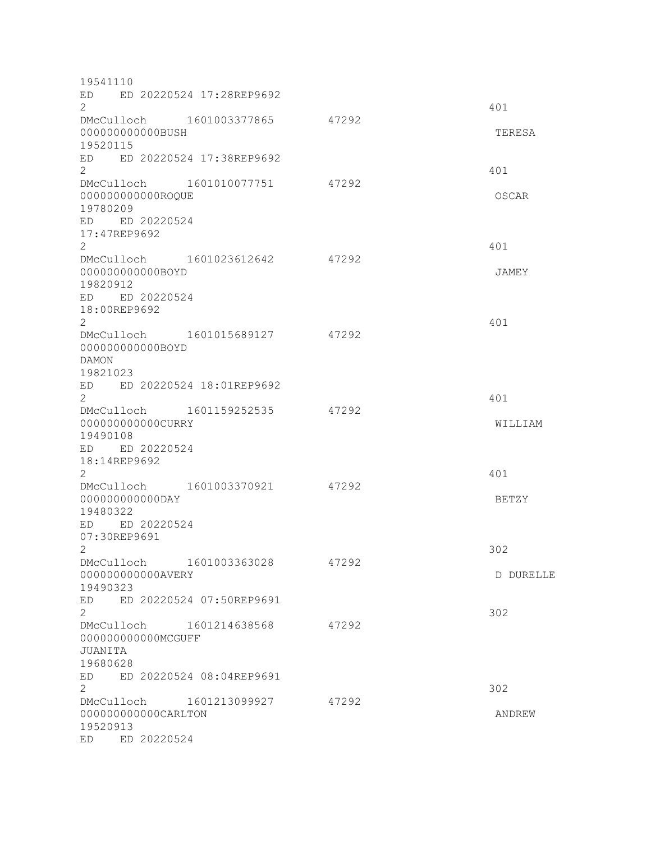| 19541110                                   |                          |       |              |
|--------------------------------------------|--------------------------|-------|--------------|
| ED<br>ED 20220524 17:28REP9692             |                          |       |              |
| $\mathbf{2}^{\prime}$                      |                          |       | 401          |
| DMcCulloch 1601003377865                   |                          | 47292 |              |
| 000000000000BUSH                           |                          |       | TERESA       |
| 19520115                                   |                          |       |              |
| ED ED 20220524 17:38REP9692                |                          |       |              |
| $\overline{2}$                             |                          |       | 401          |
| DMcCulloch 1601010077751                   |                          | 47292 |              |
| 000000000000ROQUE                          |                          |       | OSCAR        |
| 19780209                                   |                          |       |              |
| ED ED 20220524<br>17:47REP9692             |                          |       |              |
| $\overline{2}$                             |                          |       | 401          |
| DMcCulloch 1601023612642                   |                          | 47292 |              |
| 00000000000BOYD                            |                          |       | JAMEY        |
| 19820912                                   |                          |       |              |
| ED ED 20220524                             |                          |       |              |
| 18:00REP9692                               |                          |       |              |
| $\mathbf{2}^{\prime}$                      |                          |       | 401          |
| DMcCulloch 1601015689127                   |                          | 47292 |              |
| 000000000000BOYD                           |                          |       |              |
| <b>DAMON</b>                               |                          |       |              |
| 19821023                                   |                          |       |              |
| ED ED 20220524 18:01REP9692                |                          |       |              |
| $\overline{2}$                             |                          |       | 401          |
| DMcCulloch 1601159252535                   |                          | 47292 |              |
| 000000000000CURRY                          |                          |       | WILLIAM      |
| 19490108                                   |                          |       |              |
| ED ED 20220524                             |                          |       |              |
| 18:14REP9692                               |                          |       |              |
| 2                                          |                          | 47292 | 401          |
| DMcCulloch 1601003370921<br>00000000000DAY |                          |       | <b>BETZY</b> |
| 19480322                                   |                          |       |              |
| ED ED 20220524                             |                          |       |              |
| 07:30REP9691                               |                          |       |              |
| $\mathbf{2}$                               |                          |       | 302          |
| DMcCulloch                                 | 1601003363028            | 47292 |              |
| 000000000000AVERY                          |                          |       | D DURELLE    |
| 19490323                                   |                          |       |              |
| ED                                         | ED 20220524 07:50REP9691 |       |              |
| $\overline{2}$                             |                          |       | 302          |
| DMcCulloch 1601214638568                   |                          | 47292 |              |
| 000000000000MCGUFF                         |                          |       |              |
| JUANITA                                    |                          |       |              |
| 19680628                                   |                          |       |              |
| ED                                         | ED 20220524 08:04REP9691 |       |              |
| 2                                          |                          |       | 302          |
| DMcCulloch 1601213099927                   |                          | 47292 |              |
| 000000000000CARLTON                        |                          |       | ANDREW       |
| 19520913<br>ED 20220524<br>ED              |                          |       |              |
|                                            |                          |       |              |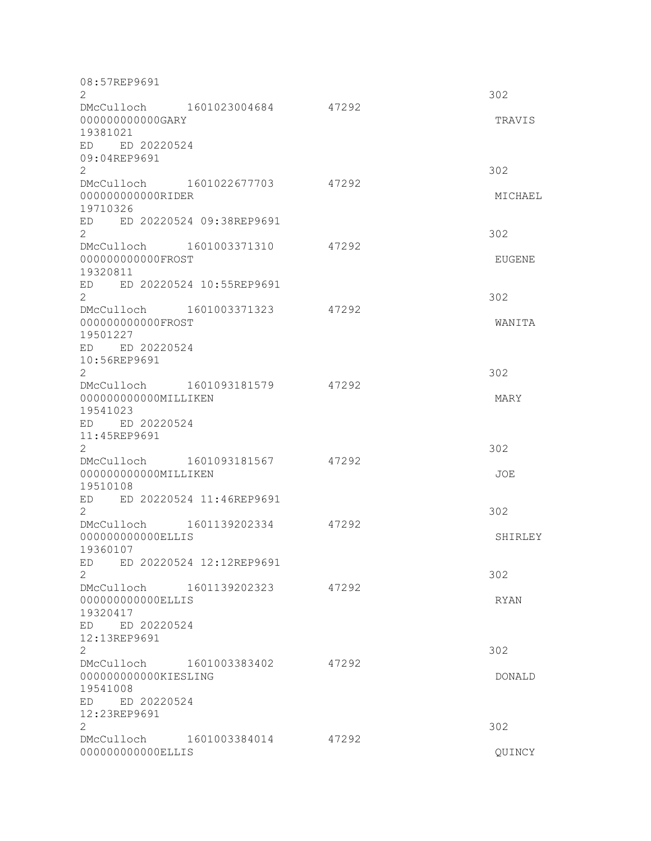| 08:57REP9691<br>2                                            |                          |       | 302           |
|--------------------------------------------------------------|--------------------------|-------|---------------|
| 000000000000GARY                                             | DMcCulloch 1601023004684 | 47292 | TRAVIS        |
| 19381021<br>ED ED 20220524<br>09:04REP9691                   |                          |       |               |
| $\mathbf{2}^{\prime}$<br>DMcCulloch 1601022677703            |                          | 47292 | 302           |
| 00000000000RIDER<br>19710326                                 |                          |       | MICHAEL       |
| ED<br>$\overline{2}$                                         | ED 20220524 09:38REP9691 |       | 302           |
| DMcCulloch 1601003371310<br>00000000000FROST<br>19320811     |                          | 47292 | EUGENE        |
| ED ED 20220524 10:55REP9691<br>$\overline{2}$                |                          |       | 302           |
| DMcCulloch 1601003371323<br>00000000000FROST<br>19501227     |                          | 47292 | WANITA        |
| ED ED 20220524<br>10:56REP9691<br>2                          |                          |       | 302           |
| DMcCulloch 1601093181579<br>000000000000MILLIKEN<br>19541023 |                          | 47292 | MARY          |
| ED ED 20220524<br>11:45REP9691<br>2                          |                          |       | 302           |
| 000000000000MILLIKEN<br>19510108                             | DMcCulloch 1601093181567 | 47292 | JOE           |
| ED<br>2                                                      | ED 20220524 11:46REP9691 |       | 302           |
| DMcCulloch 1601139202334<br>000000000000ELLIS<br>19360107    |                          | 47292 | SHIRLEY       |
| ED.<br>$\mathbf{2}$                                          | ED 20220524 12:12REP9691 |       | 302           |
| DMcCulloch 1601139202323<br>00000000000ELLIS<br>19320417     |                          | 47292 | RYAN          |
| ED 20220524<br>ED<br>12:13REP9691<br>2                       |                          |       | 302           |
| DMcCulloch 1601003383402                                     |                          | 47292 |               |
| 000000000000KIESLING<br>19541008<br>ED ED 20220524           |                          |       | <b>DONALD</b> |
| 12:23REP9691<br>$\mathbf{2}^{\prime}$                        |                          |       | 302           |
| DMcCulloch 1601003384014<br>000000000000ELLIS                |                          | 47292 | QUINCY        |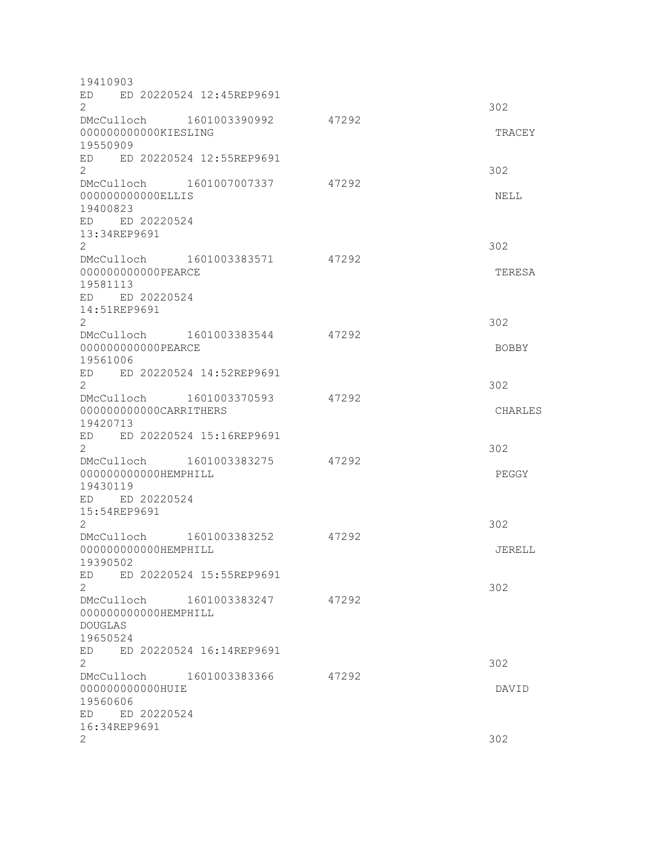| 19410903                                                |       |              |
|---------------------------------------------------------|-------|--------------|
| ED 20220524 12:45REP9691<br>ED<br>$\mathbf{2}^{\prime}$ |       | 302          |
| DMcCulloch 1601003390992                                | 47292 |              |
| 000000000000KIESLING                                    |       | TRACEY       |
| 19550909                                                |       |              |
| ED ED 20220524 12:55REP9691                             |       |              |
| $\overline{2}$<br>DMcCulloch 1601007007337              | 47292 | 302          |
| 00000000000ELLIS                                        |       | NELL         |
| 19400823                                                |       |              |
| ED ED 20220524                                          |       |              |
| 13:34REP9691                                            |       |              |
| $\overline{2}$                                          |       | 302          |
| DMcCulloch 1601003383571                                | 47292 |              |
| 000000000000PEARCE                                      |       | TERESA       |
| 19581113                                                |       |              |
| ED ED 20220524                                          |       |              |
| 14:51REP9691<br>$\overline{2}$                          |       |              |
| DMcCulloch 1601003383544                                | 47292 | 302          |
| 000000000000PEARCE                                      |       | <b>BOBBY</b> |
| 19561006                                                |       |              |
| ED ED 20220524 14:52REP9691                             |       |              |
| $\overline{2}$                                          |       | 302          |
| DMcCulloch 1601003370593                                | 47292 |              |
| 000000000000CARRITHERS                                  |       | CHARLES      |
| 19420713                                                |       |              |
| ED ED 20220524 15:16REP9691                             |       |              |
| $\overline{2}$                                          | 47292 | 302          |
| DMcCulloch 1601003383275<br>000000000000HEMPHILL        |       | PEGGY        |
| 19430119                                                |       |              |
| ED ED 20220524                                          |       |              |
| 15:54REP9691                                            |       |              |
| $\overline{2}$                                          |       | 302          |
| DMcCulloch 1601003383252                                | 47292 |              |
| 000000000000HEMPHILL                                    |       | JERELL       |
| 19390502                                                |       |              |
| ED 20220524 15:55REP9691<br>ED                          |       |              |
| 2                                                       | 47292 | 302          |
| DMcCulloch 1601003383247<br>000000000000HEMPHILL        |       |              |
| <b>DOUGLAS</b>                                          |       |              |
| 19650524                                                |       |              |
| ED 20220524 16:14REP9691<br>ED                          |       |              |
| $\overline{2}$                                          |       | 302          |
| DMcCulloch 1601003383366                                | 47292 |              |
| 000000000000HUIE                                        |       | DAVID        |
| 19560606                                                |       |              |
| ED ED 20220524                                          |       |              |
| 16:34REP9691<br>2                                       |       | 302          |
|                                                         |       |              |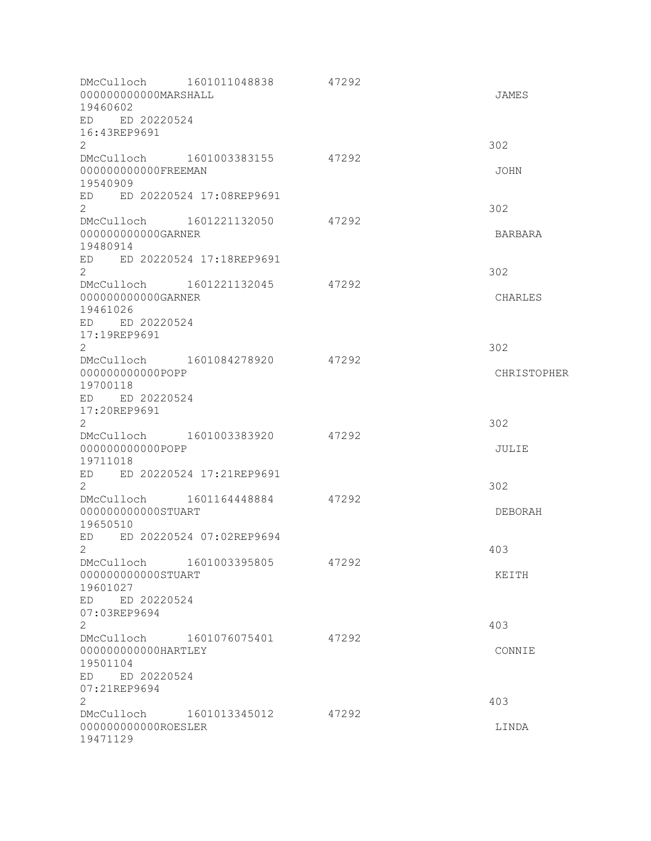| 000000000000MARSHALL<br>19460602<br>ED ED 20220524<br>16:43REP9691        | DMcCulloch 1601011048838       | 47292 | JAMES       |
|---------------------------------------------------------------------------|--------------------------------|-------|-------------|
| $\mathbf{2}$                                                              |                                |       | 302         |
| DMcCulloch<br>000000000000FREEMAN<br>19540909                             | 1601003383155                  | 47292 | <b>JOHN</b> |
| ED ED 20220524 17:08REP9691<br>$\overline{2}$                             |                                |       | 302         |
| DMcCulloch<br>000000000000GARNER<br>19480914                              | 1601221132050                  | 47292 | BARBARA     |
| ED ED 20220524 17:18REP9691<br>$\overline{2}$                             |                                |       | 302         |
| DMcCulloch<br>000000000000GARNER<br>19461026<br>ED ED 20220524            | 1601221132045                  | 47292 | CHARLES     |
| 17:19REP9691<br>$\overline{2}$                                            |                                |       | 302         |
| DMcCulloch 1601084278920<br>00000000000POPP<br>19700118<br>ED ED 20220524 |                                | 47292 | CHRISTOPHER |
| 17:20REP9691<br>$\overline{2}$                                            |                                |       | 302         |
| DMcCulloch 1601003383920<br>00000000000POPP<br>19711018                   |                                | 47292 | JULIE       |
| ED ED 20220524 17:21REP9691<br>$\overline{2}$                             |                                |       | 302         |
| DMcCulloch<br>000000000000STUART<br>19650510                              | 1601164448884                  | 47292 | DEBORAH     |
| ED<br>$\mathbf{2}^-$                                                      | ED 20220524 07:02REP9694       |       | 403         |
| 000000000000STUART<br>19601027                                            | DMcCulloch 1601003395805       | 47292 | KEITH       |
| ED ED 20220524<br>07:03REP9694<br>$\overline{2}$                          |                                |       | 403         |
| 000000000000HARTLEY<br>19501104<br>ED ED 20220524                         | DMcCulloch 1601076075401 47292 |       | CONNIE      |
| 07:21REP9694<br>$\mathbf{2}^{\prime}$                                     |                                |       | 403         |
| 000000000000ROESLER<br>19471129                                           | DMcCulloch 1601013345012 47292 |       | LINDA       |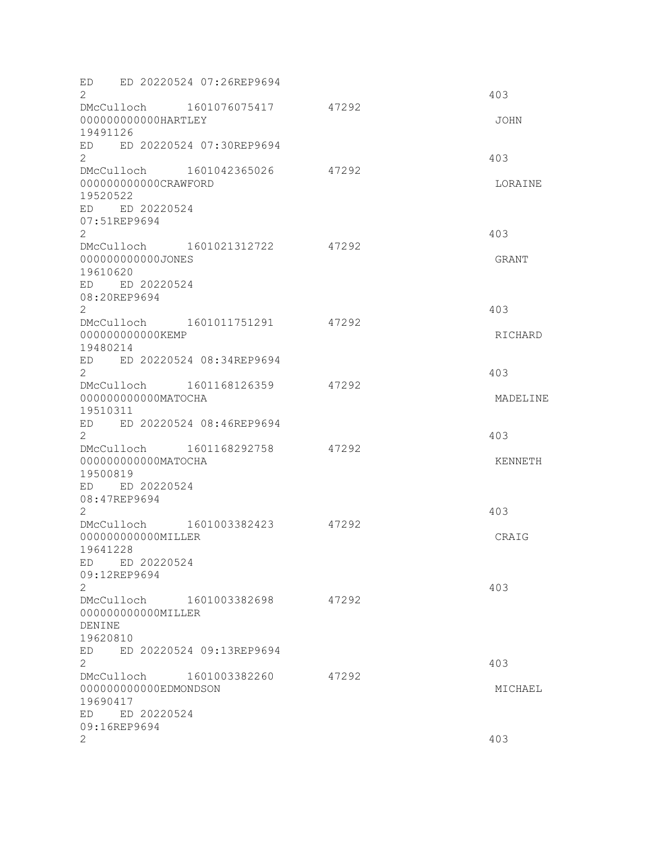| ED 20220524 07:26REP9694<br>ED<br>$\overline{2}$                                                                     |       | 403                 |
|----------------------------------------------------------------------------------------------------------------------|-------|---------------------|
| DMcCulloch 1601076075417<br>000000000000HARTLEY<br>19491126                                                          | 47292 | JOHN                |
| ED 20220524 07:30REP9694<br>ED<br>$\overline{2}$                                                                     |       | 403                 |
| 1601042365026<br>DMcCulloch<br>000000000000CRAWFORD<br>19520522<br>ED ED 20220524<br>07:51REP9694<br>2               | 47292 | LORAINE<br>403      |
| DMcCulloch 1601021312722<br>000000000000JONES<br>19610620<br>ED ED 20220524<br>08:20REP9694<br>$\mathbf{2}^{\prime}$ | 47292 | GRANT<br>403        |
| DMcCulloch 1601011751291<br>000000000000KEMP<br>19480214<br>ED ED 20220524 08:34REP9694<br>$\mathbf{2}^{\prime}$     | 47292 | RICHARD<br>403      |
| DMcCulloch 1601168126359<br>000000000000MATOCHA<br>19510311<br>ED ED 20220524 08:46REP9694                           | 47292 | MADELINE            |
| 2<br>DMcCulloch 1601168292758<br>000000000000MATOCHA<br>19500819<br>ED ED 20220524<br>08:47REP9694                   | 47292 | 403<br>KENNETH      |
| 2<br>DMcCulloch 1601003382423<br>000000000000MILLER<br>19641228<br>ED ED 20220524<br>09:12REP9694<br>2               | 47292 | 403<br>CRAIG<br>403 |
| DMcCulloch 1601003382698<br>000000000000MILLER<br>DENINE<br>19620810<br>ED 20220524 09:13REP9694<br>ED               | 47292 |                     |
| $\mathbf{2}$<br>DMcCulloch 1601003382260<br>000000000000EDMONDSON<br>19690417<br>ED 20220524<br>ED<br>09:16REP9694   | 47292 | 403<br>MICHAEL      |
| 2                                                                                                                    |       | 403                 |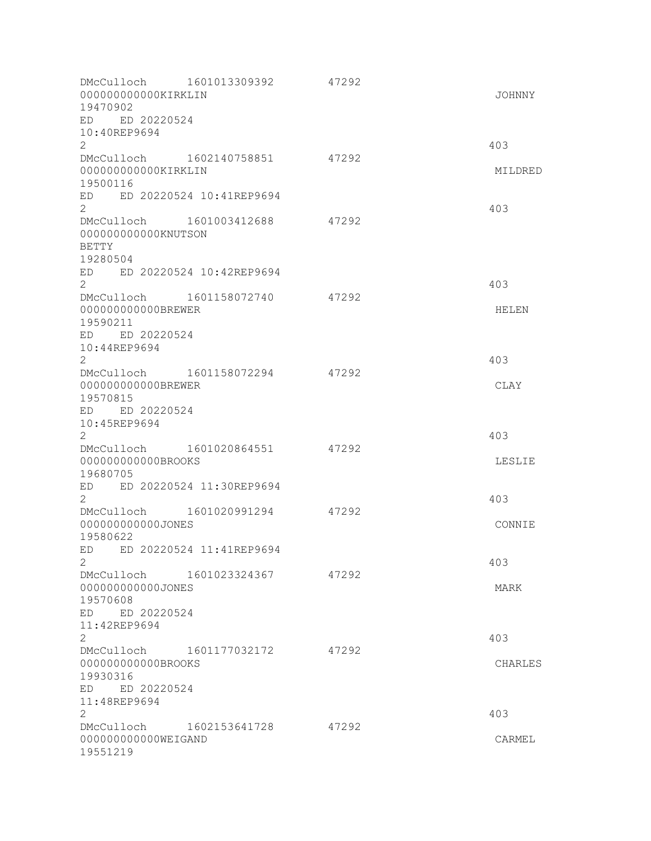| 000000000000KIRKLIN<br>19470902                                                              | DMcCulloch 1601013309392 47292 |       | JOHNNY        |
|----------------------------------------------------------------------------------------------|--------------------------------|-------|---------------|
| ED ED 20220524<br>10:40REP9694<br>$\mathbf{2}$                                               |                                |       | 403           |
| 000000000000KIRKLIN                                                                          | DMcCulloch 1602140758851 47292 |       | MILDRED       |
| 19500116<br>ED ED 20220524 10:41REP9694<br>$\overline{2}$                                    |                                |       | 403           |
| DMcCulloch 1601003412688<br>000000000000KNUTSON<br><b>BETTY</b><br>19280504                  |                                | 47292 |               |
| ED ED 20220524 10:42REP9694<br>$\overline{2}$                                                |                                |       | 403           |
| DMcCulloch 1601158072740<br>000000000000BREWER<br>19590211<br>ED ED 20220524<br>10:44REP9694 |                                | 47292 | HELEN         |
| $\mathbf{2}^{\prime}$                                                                        | DMcCulloch 1601158072294       | 47292 | 403           |
| 000000000000BREWER<br>19570815<br>ED ED 20220524<br>10:45REP9694                             |                                |       | CLAY          |
| $\mathbf{2}^{\prime}$                                                                        | DMcCulloch 1601020864551       | 47292 | 403           |
| 00000000000BROOKS<br>19680705                                                                |                                |       | LESLIE        |
| ED ED 20220524 11:30REP9694<br>$\mathbf{2}^{\prime}$                                         |                                |       | 403           |
| DMcCulloch 1601020991294<br>000000000000JONES<br>19580622                                    |                                | 47292 | CONNIE        |
| ED ED 20220524 11:41REP9694<br>$\overline{2}$                                                |                                |       | 403           |
| DMcCulloch 1601023324367<br>000000000000JONES<br>19570608<br>ED ED 20220524                  |                                | 47292 | MARK          |
| 11:42REP9694<br>$\overline{2}$                                                               |                                |       | 403           |
| DMcCulloch 1601177032172<br>00000000000BROOKS<br>19930316<br>ED ED 20220524<br>11:48REP9694  |                                | 47292 | CHARLES       |
| $\mathbf{2}$<br>DMcCulloch 1602153641728<br>000000000000WEIGAND<br>19551219                  |                                | 47292 | 403<br>CARMEL |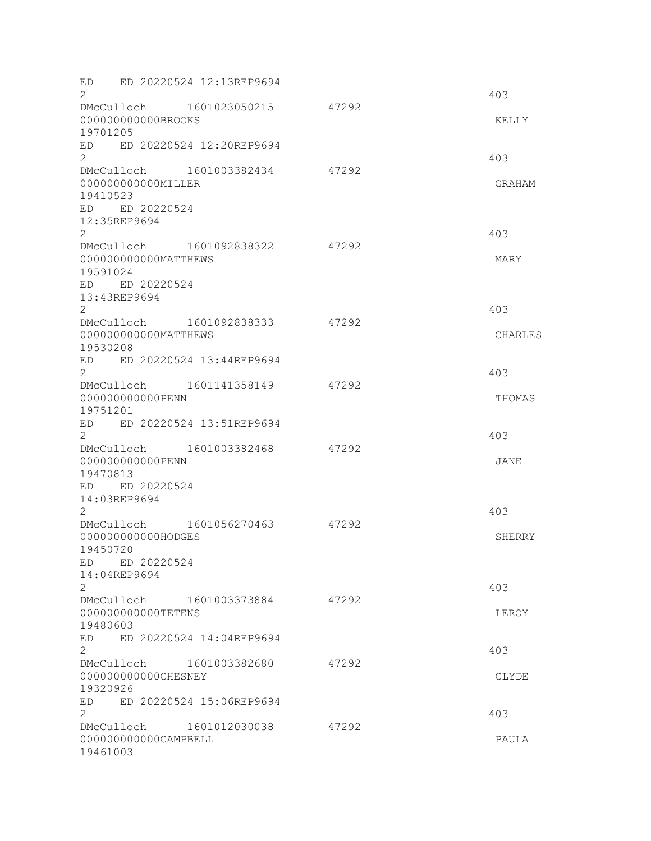| ED<br>$\overline{2}$                              | ED 20220524 12:13REP9694 |       | 403     |
|---------------------------------------------------|--------------------------|-------|---------|
| DMcCulloch 1601023050215                          |                          | 47292 |         |
| 000000000000BROOKS<br>19701205                    |                          |       | KELLY   |
| ED ED 20220524 12:20REP9694<br>$\overline{2}$     |                          |       | 403     |
| DMcCulloch 1601003382434                          |                          | 47292 |         |
| 000000000000MILLER<br>19410523                    |                          |       | GRAHAM  |
| ED ED 20220524<br>12:35REP9694                    |                          |       |         |
| $\mathbf{2}^{\prime}$<br>DMcCulloch 1601092838322 |                          | 47292 | 403     |
| 000000000000MATTHEWS<br>19591024                  |                          |       | MARY    |
| ED ED 20220524                                    |                          |       |         |
| 13:43REP9694<br>$\mathbf{2}^{\prime}$             |                          |       | 403     |
| DMcCulloch 1601092838333                          |                          | 47292 |         |
| 000000000000MATTHEWS<br>19530208                  |                          |       | CHARLES |
| ED ED 20220524 13:44REP9694<br>2                  |                          |       | 403     |
| DMcCulloch 1601141358149                          |                          | 47292 |         |
| 00000000000PENN<br>19751201                       |                          |       | THOMAS  |
| ED                                                | ED 20220524 13:51REP9694 |       |         |
| 2                                                 |                          |       | 403     |
| DMcCulloch 1601003382468                          |                          | 47292 |         |
| 00000000000PENN<br>19470813                       |                          |       | JANE    |
| ED ED 20220524                                    |                          |       |         |
| 14:03REP9694                                      |                          |       |         |
| 2                                                 |                          |       | 403     |
| DMcCulloch 1601056270463<br>000000000000HODGES    |                          | 47292 | SHERRY  |
| 19450720                                          |                          |       |         |
| ED ED 20220524                                    |                          |       |         |
| 14:04REP9694                                      |                          |       |         |
| 2<br>DMcCulloch 1601003373884                     |                          | 47292 | 403     |
| 000000000000TETENS                                |                          |       | LEROY   |
| 19480603                                          |                          |       |         |
| ED<br>$\overline{2}$                              | ED 20220524 14:04REP9694 |       |         |
| DMcCulloch 1601003382680                          |                          | 47292 | 403     |
| 000000000000CHESNEY                               |                          |       | CLYDE   |
| 19320926                                          |                          |       |         |
| ED<br>2                                           | ED 20220524 15:06REP9694 |       | 403     |
| DMcCulloch 1601012030038                          |                          | 47292 |         |
| 000000000000CAMPBELL<br>19461003                  |                          |       | PAULA   |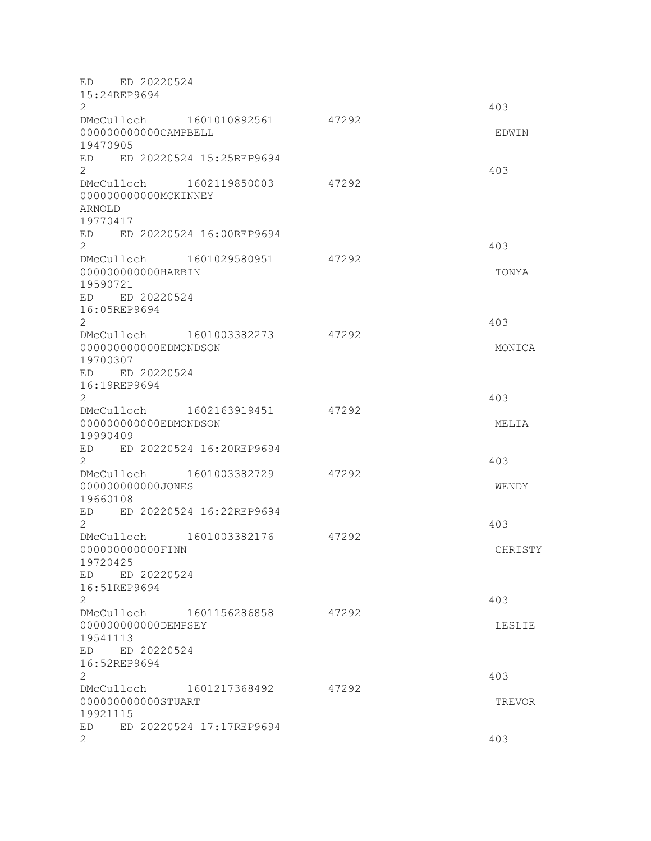| ED ED 20220524<br>15:24REP9694                                         |       |         |
|------------------------------------------------------------------------|-------|---------|
| 2                                                                      |       | 403     |
| DMcCulloch 1601010892561<br>000000000000CAMPBELL<br>19470905           | 47292 | EDWIN   |
| ED ED 20220524 15:25REP9694<br>$\overline{2}$                          |       | 403     |
| DMcCulloch 1602119850003<br>000000000000MCKINNEY<br>ARNOLD<br>19770417 | 47292 |         |
| ED ED 20220524 16:00REP9694<br>$\overline{2}$                          |       | 403     |
| DMcCulloch 1601029580951<br>000000000000HARBIN<br>19590721             | 47292 | TONYA   |
| ED ED 20220524<br>16:05REP9694<br>2                                    |       | 403     |
| DMcCulloch 1601003382273                                               | 47292 |         |
| 000000000000EDMONDSON<br>19700307<br>ED ED 20220524                    |       | MONICA  |
| 16:19REP9694<br>$\overline{2}$                                         |       | 403     |
| DMcCulloch 1602163919451<br>000000000000EDMONDSON<br>19990409          | 47292 | MELIA   |
| ED ED 20220524 16:20REP9694<br>2                                       |       | 403     |
| DMcCulloch 1601003382729<br>000000000000JONES<br>19660108              | 47292 | WENDY   |
| ED ED 20220524 16:22REP9694<br>2                                       |       | 403     |
| DMcCulloch 1601003382176<br>000000000000FINN<br>19720425               | 47292 | CHRISTY |
| ED ED 20220524<br>16:51REP9694<br>$\overline{2}$                       |       | 403     |
| DMcCulloch 1601156286858                                               | 47292 |         |
| 00000000000DEMPSEY<br>19541113<br>ED ED 20220524                       |       | LESLIE  |
| 16:52REP9694<br>2                                                      |       | 403     |
| DMcCulloch 1601217368492<br>000000000000STUART<br>19921115             | 47292 | TREVOR  |
| ED 20220524 17:17REP9694<br>ED.<br>2                                   |       | 403     |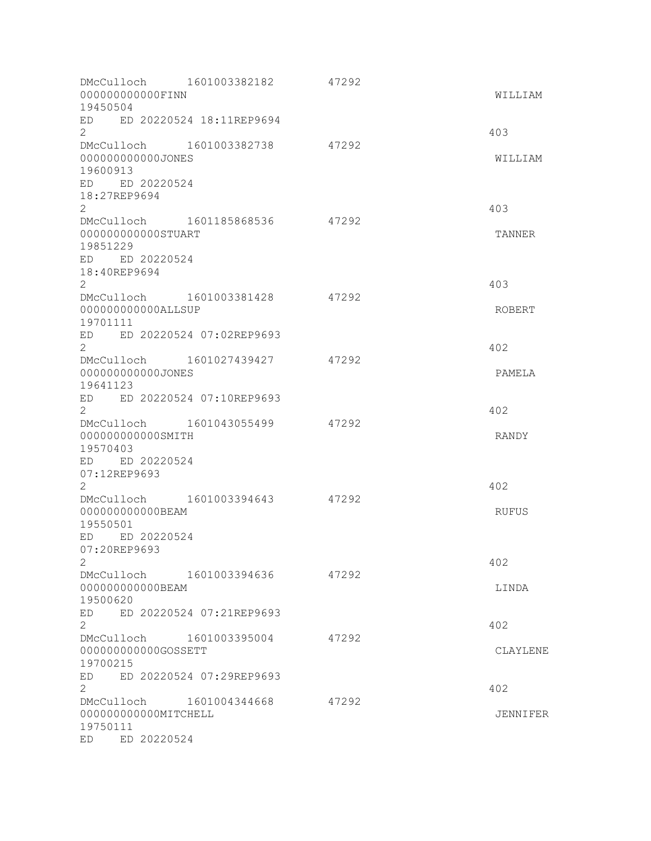| 000000000000FINN<br>19450504                                               | DMcCulloch 1601003382182 | 47292 | WILLIAM      |
|----------------------------------------------------------------------------|--------------------------|-------|--------------|
| ED ED 20220524 18:11REP9694<br>$\overline{2}$                              |                          |       | 403          |
| DMcCulloch 1601003382738<br>000000000000JONES<br>19600913                  |                          | 47292 | WILLIAM      |
| ED ED 20220524<br>18:27REP9694<br>$\overline{2}$                           |                          |       | 403          |
| DMcCulloch 1601185868536<br>000000000000STUART<br>19851229                 |                          | 47292 | TANNER       |
| ED ED 20220524<br>18:40REP9694<br>$\overline{2}$                           |                          |       | 403          |
| DMcCulloch 1601003381428<br>000000000000ALLSUP<br>19701111                 |                          | 47292 | ROBERT       |
| ED ED 20220524 07:02REP9693<br>$\overline{2}$                              |                          |       | 402          |
| DMcCulloch 1601027439427<br>000000000000JONES<br>19641123                  |                          | 47292 | PAMELA       |
| ED ED 20220524 07:10REP9693<br>$\overline{2}$                              |                          |       | 402          |
| DMcCulloch 1601043055499<br>00000000000SMITH<br>19570403<br>ED ED 20220524 |                          | 47292 | RANDY        |
| 07:12REP9693<br>$\overline{2}$                                             |                          |       | 402          |
| DMcCulloch 1601003394643<br>00000000000BEAM<br>19550501                    |                          | 47292 | <b>RUFUS</b> |
| ED ED 20220524<br>07:20REP9693<br>2                                        |                          |       | 402          |
| DMcCulloch 1601003394636<br>000000000000BEAM<br>19500620                   |                          | 47292 | LINDA        |
| ED<br>$\overline{2}$                                                       | ED 20220524 07:21REP9693 |       | 402          |
| DMcCulloch 1601003395004<br>00000000000GOSSETT<br>19700215                 |                          | 47292 | CLAYLENE     |
| ED<br>$\overline{2}$<br>DMcCulloch 1601004344668                           | ED 20220524 07:29REP9693 | 47292 | 402          |
| 000000000000MITCHELL<br>19750111<br>ED ED 20220524                         |                          |       | JENNIFER     |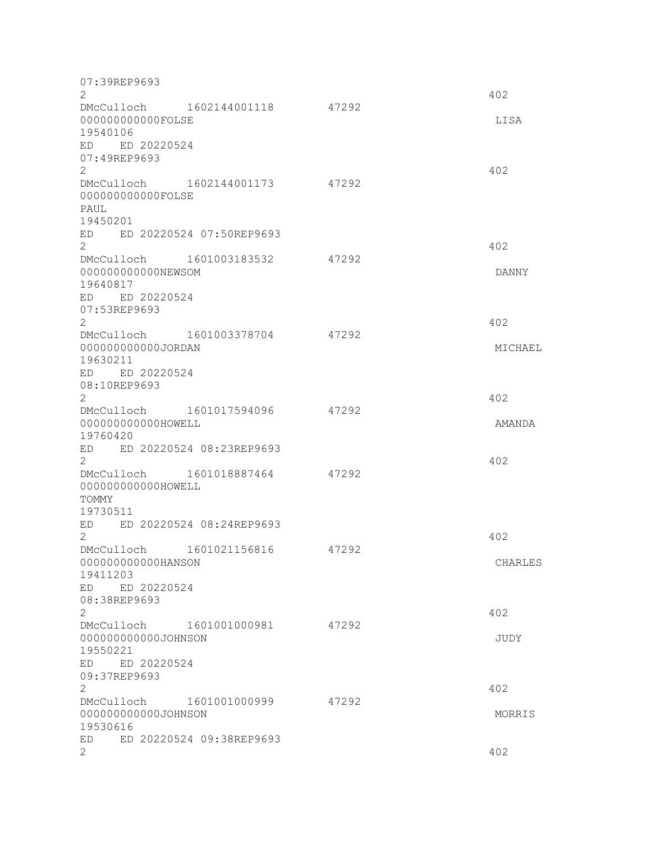| 07:39REP9693<br>$\mathbf{2}$                      |       | 402     |
|---------------------------------------------------|-------|---------|
| DMcCulloch 1602144001118 47292                    |       |         |
| 00000000000FOLSE<br>19540106                      |       | LISA    |
| ED ED 20220524                                    |       |         |
| 07:49REP9693<br>$\overline{2}$                    |       | 402     |
| DMcCulloch 1602144001173 47292                    |       |         |
| 000000000000FOLSE<br>PAUL                         |       |         |
| 19450201                                          |       |         |
| ED ED 20220524 07:50REP9693<br>$\overline{2}$     |       | 402     |
| DMcCulloch 1601003183532                          | 47292 |         |
| 000000000000NEWSOM<br>19640817                    |       | DANNY   |
| ED ED 20220524                                    |       |         |
| 07:53REP9693<br>$\overline{2}$                    |       | 402     |
| DMcCulloch 1601003378704                          | 47292 |         |
| 000000000000JORDAN<br>19630211                    |       | MICHAEL |
| ED ED 20220524                                    |       |         |
| 08:10REP9693<br>$\overline{2}$                    |       | 402     |
| DMcCulloch 1601017594096                          | 47292 |         |
| 000000000000HOWELL<br>19760420                    |       | AMANDA  |
| ED ED 20220524 08:23REP9693                       |       |         |
| $\overline{2}$                                    |       | 402     |
| DMcCulloch 1601018887464<br>000000000000HOWELL    | 47292 |         |
| TOMMY                                             |       |         |
| 19730511<br>ED ED 20220524 08:24REP9693           |       |         |
| $\overline{2}$                                    |       | 402     |
| 1601021156816<br>DMcCulloch<br>000000000000HANSON | 47292 | CHARLES |
| 19411203                                          |       |         |
| ED ED 20220524<br>08:38REP9693                    |       |         |
| $\overline{2}$                                    |       | 402     |
| DMcCulloch 1601001000981<br>000000000000JOHNSON   | 47292 | JUDY    |
| 19550221                                          |       |         |
| ED ED 20220524<br>09:37REP9693                    |       |         |
| $\overline{2}$                                    |       | 402     |
| DMcCulloch 1601001000999                          | 47292 |         |
| 000000000000JOHNSON<br>19530616                   |       | MORRIS  |
| ED 20220524 09:38REP9693<br>ED                    |       |         |
| 2                                                 |       | 402     |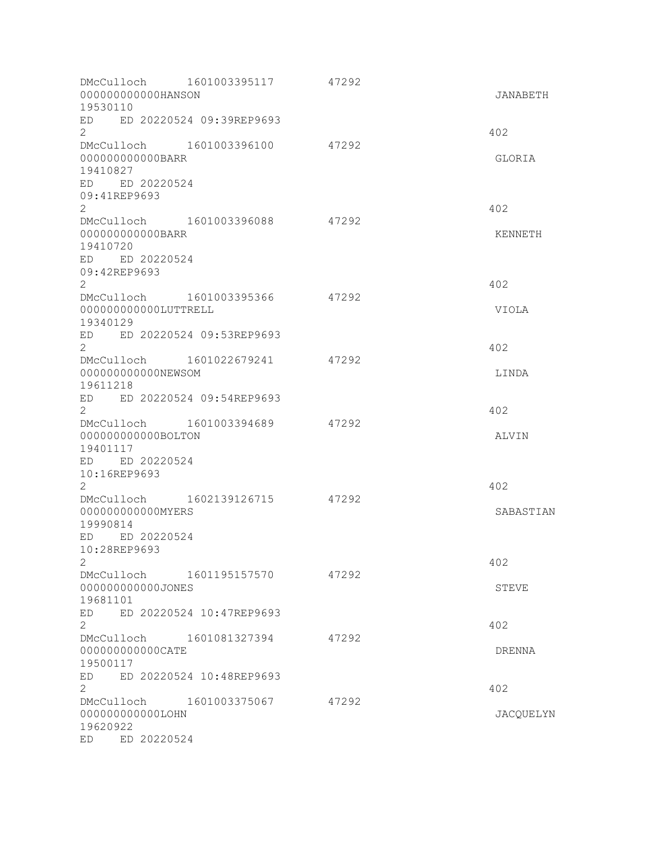| DMcCulloch 1601003395117<br>000000000000HANSON<br>19530110                                |               | 47292 | JANABETH  |
|-------------------------------------------------------------------------------------------|---------------|-------|-----------|
| ED ED 20220524 09:39REP9693<br>$\overline{2}$                                             |               |       | 402       |
| DMcCulloch 1601003396100<br>00000000000BARR<br>19410827<br>ED ED 20220524                 |               | 47292 | GLORIA    |
| 09:41REP9693<br>$\overline{2}$                                                            |               |       | 402       |
| DMcCulloch 1601003396088<br>00000000000BARR<br>19410720<br>ED ED 20220524<br>09:42REP9693 |               | 47292 | KENNETH   |
| $\overline{2}$                                                                            |               |       | 402       |
| DMcCulloch 1601003395366<br>000000000000LUTTRELL<br>19340129                              |               | 47292 | VIOLA     |
| ED ED 20220524 09:53REP9693<br>$\overline{2}$                                             |               |       | 402       |
| DMcCulloch 1601022679241<br>000000000000NEWSOM<br>19611218                                |               | 47292 | LINDA     |
| ED ED 20220524 09:54REP9693<br>$\overline{2}$                                             |               |       | 402       |
| DMcCulloch<br>000000000000BOLTON<br>19401117                                              | 1601003394689 | 47292 | ALVIN     |
| ED ED 20220524<br>10:16REP9693<br>$\mathbf{2}^{\prime}$                                   |               |       | 402       |
| DMcCulloch 1602139126715 47292<br>000000000000MYERS<br>19990814                           |               |       | SABASTIAN |
| ED ED 20220524<br>10:28REP9693<br>$\mathbf{2}$                                            |               |       | 402       |
| DMcCulloch 1601195157570<br>00000000000JONES<br>19681101                                  | 47292         |       | STEVE     |
| ED 20220524 10:47REP9693<br>ED<br>$\overline{2}$                                          |               |       | 402       |
| DMcCulloch 1601081327394<br>00000000000CATE<br>19500117                                   |               | 47292 | DRENNA    |
| ED 20220524 10:48REP9693<br>ED<br>$\mathbf{2}$                                            |               |       | 402       |
| DMcCulloch 1601003375067<br>000000000000LOHN<br>19620922<br>ED 20220524<br>ED             |               | 47292 | JACQUELYN |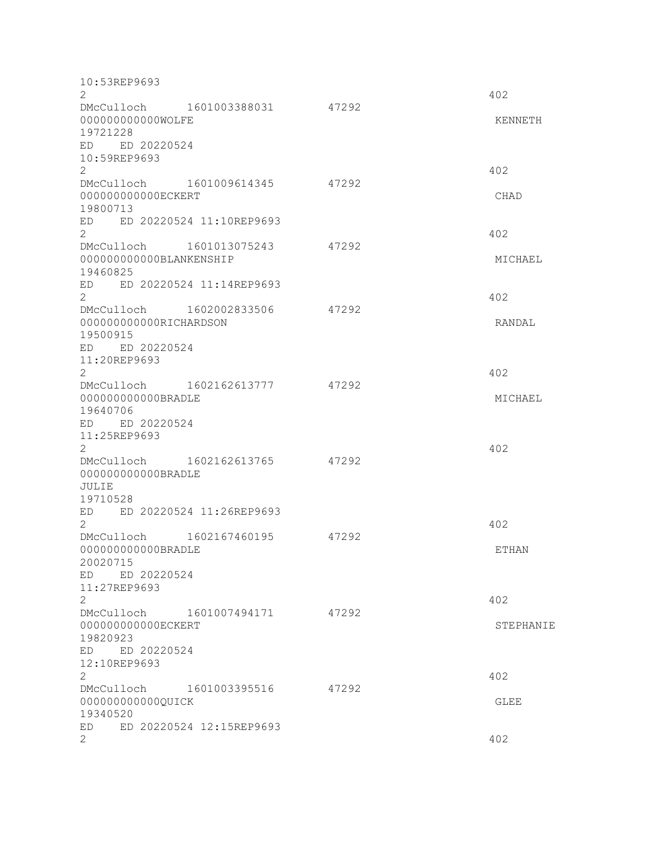| 10:53REP9693<br>$\overline{2}$<br>DMcCulloch 1601003388031<br>000000000000WOLFE<br>19721228<br>ED ED 20220524<br>10:59REP9693 | 47292 | 402<br>KENNETH      |
|-------------------------------------------------------------------------------------------------------------------------------|-------|---------------------|
| $\overline{2}$<br>1601009614345<br>DMcCulloch<br>000000000000ECKERT<br>19800713<br>ED 20220524 11:10REP9693<br>ED             | 47292 | 402<br>CHAD         |
| $\mathbf{2}^{\prime}$<br>DMcCulloch 1601013075243<br>000000000000BLANKENSHIP<br>19460825<br>ED ED 20220524 11:14REP9693       | 47292 | 402<br>MICHAEL      |
| $\mathbf{2}^{\prime}$<br>DMcCulloch 1602002833506<br>000000000000RICHARDSON<br>19500915<br>ED ED 20220524<br>11:20REP9693     | 47292 | 402<br>RANDAL       |
| $\mathbf{2}^{\prime}$<br>DMcCulloch 1602162613777<br>000000000000BRADLE<br>19640706<br>ED ED 20220524<br>11:25REP9693         | 47292 | 402<br>MICHAEL      |
| $\overline{2}$<br>DMcCulloch 1602162613765<br>000000000000BRADLE<br>JULIE<br>19710528<br>ED 20220524 11:26REP9693<br>ED       | 47292 | 402                 |
| 2<br>DMcCulloch 1602167460195<br>00000000000BRADLE<br>20020715<br>ED ED 20220524                                              | 47292 | 402<br><b>ETHAN</b> |
| 11:27REP9693<br>$\mathbf{2}$<br>DMcCulloch 1601007494171<br>00000000000ECKERT<br>19820923<br>ED ED 20220524                   | 47292 | 402<br>STEPHANIE    |
| 12:10REP9693<br>$\mathbf{2}^{\prime}$<br>DMcCulloch 1601003395516<br>000000000000QUICK<br>19340520                            | 47292 | 402<br>GLEE         |
| ED ED 20220524 12:15REP9693<br>2                                                                                              |       | 402                 |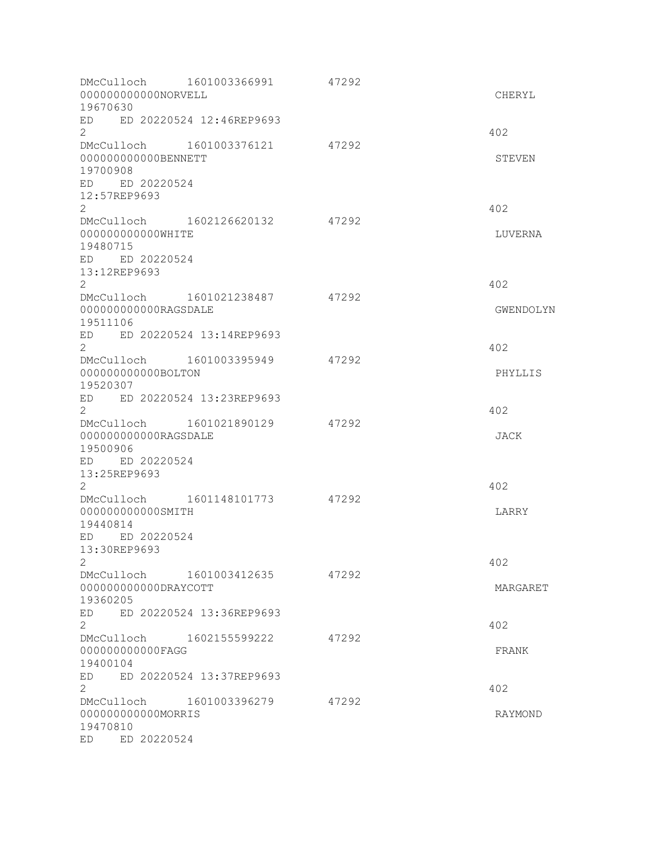| DMcCulloch 1601003366991<br>000000000000NORVELL<br>19670630                  | 47292 | CHERYL    |
|------------------------------------------------------------------------------|-------|-----------|
| ED ED 20220524 12:46REP9693<br>$\overline{2}$                                |       | 402       |
| DMcCulloch 1601003376121<br>000000000000BENNETT<br>19700908                  | 47292 | STEVEN    |
| ED ED 20220524<br>12:57REP9693<br>$\overline{2}$                             |       | 402       |
| DMcCulloch 1602126620132<br>000000000000WHITE<br>19480715                    | 47292 | LUVERNA   |
| ED ED 20220524<br>13:12REP9693<br>$\overline{2}$                             |       | 402       |
| DMcCulloch 1601021238487<br>000000000000RAGSDALE<br>19511106                 | 47292 | GWENDOLYN |
| ED ED 20220524 13:14REP9693<br>$\overline{2}$                                |       | 402       |
| DMcCulloch 1601003395949<br>000000000000BOLTON<br>19520307                   | 47292 | PHYLLIS   |
| ED ED 20220524 13:23REP9693<br>$\overline{2}$                                |       | 402       |
| DMcCulloch 1601021890129<br>000000000000RAGSDALE<br>19500906                 | 47292 | JACK      |
| ED ED 20220524<br>13:25REP9693<br>$\overline{2}$                             |       | 402       |
| DMcCulloch 1601148101773<br>000000000000SMITH<br>19440814                    | 47292 | LARRY     |
| ED ED 20220524<br>13:30REP9693<br>2                                          |       | 402       |
| DMcCulloch 1601003412635<br>000000000000DRAYCOTT<br>19360205                 | 47292 | MARGARET  |
| ED 20220524 13:36REP9693<br>ED<br>$\overline{2}$                             |       | 402       |
| DMcCulloch 1602155599222<br>00000000000FAGG<br>19400104                      | 47292 | FRANK     |
| ED 20220524 13:37REP9693<br>ED<br>$\overline{2}$<br>DMcCulloch 1601003396279 | 47292 | 402       |
| 000000000000MORRIS<br>19470810<br>ED ED 20220524                             |       | RAYMOND   |
|                                                                              |       |           |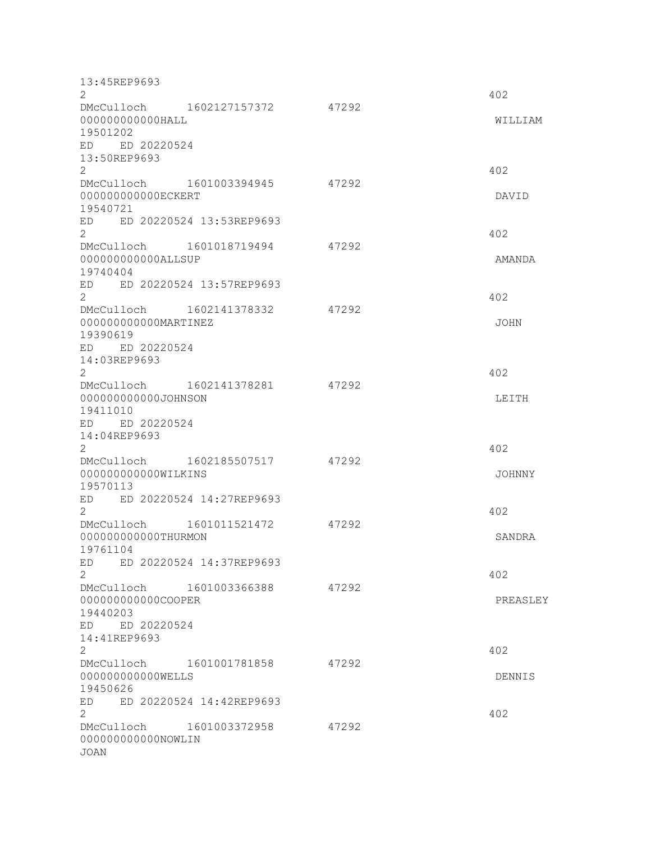| 13:45REP9693<br>$\overline{2}$                          |       | 402      |
|---------------------------------------------------------|-------|----------|
| DMcCulloch 1602127157372 47292                          |       |          |
| 000000000000HALL<br>19501202                            |       | WILLIAM  |
| ED ED 20220524                                          |       |          |
| 13:50REP9693<br>$\mathbf{2}^{\prime}$                   |       | 402      |
| DMcCulloch 1601003394945                                | 47292 |          |
| 000000000000ECKERT<br>19540721                          |       | DAVID    |
| ED 20220524 13:53REP9693<br>ED<br>$\mathbf{2}^{\prime}$ |       | 402      |
| DMcCulloch 1601018719494                                | 47292 |          |
| 000000000000ALLSUP<br>19740404                          |       | AMANDA   |
| ED ED 20220524 13:57REP9693<br>$\overline{2}$           |       |          |
| DMcCulloch 1602141378332                                | 47292 | 402      |
| 000000000000MARTINEZ<br>19390619                        |       | JOHN     |
| ED ED 20220524                                          |       |          |
| 14:03REP9693<br>$\overline{2}$                          |       | 402      |
| DMcCulloch 1602141378281                                | 47292 |          |
| 000000000000JOHNSON<br>19411010                         |       | LEITH    |
| ED ED 20220524<br>14:04REP9693                          |       |          |
| $\overline{2}$                                          |       | 402      |
| DMcCulloch 1602185507517<br>000000000000WILKINS         | 47292 | JOHNNY   |
| 19570113                                                |       |          |
| ED ED 20220524 14:27REP9693<br>$\mathbf{2}^{\prime}$    |       | 402      |
| DMcCulloch 1601011521472<br>000000000000THURMON         | 47292 |          |
| 19761104                                                |       | SANDRA   |
| ED 20220524 14:37REP9693<br>ED.<br>$\overline{2}$       |       | 402      |
| DMcCulloch 1601003366388                                | 47292 |          |
| 000000000000COOPER<br>19440203                          |       | PREASLEY |
| ED ED 20220524                                          |       |          |
| 14:41REP9693<br>$\overline{2}$                          |       | 402      |
| DMcCulloch 1601001781858<br>000000000000WELLS           | 47292 | DENNIS   |
| 19450626                                                |       |          |
| ED 20220524 14:42REP9693<br>ED<br>$\overline{2}$        |       | 402      |
| DMcCulloch 1601003372958                                | 47292 |          |
| 000000000000NOWLIN<br><b>JOAN</b>                       |       |          |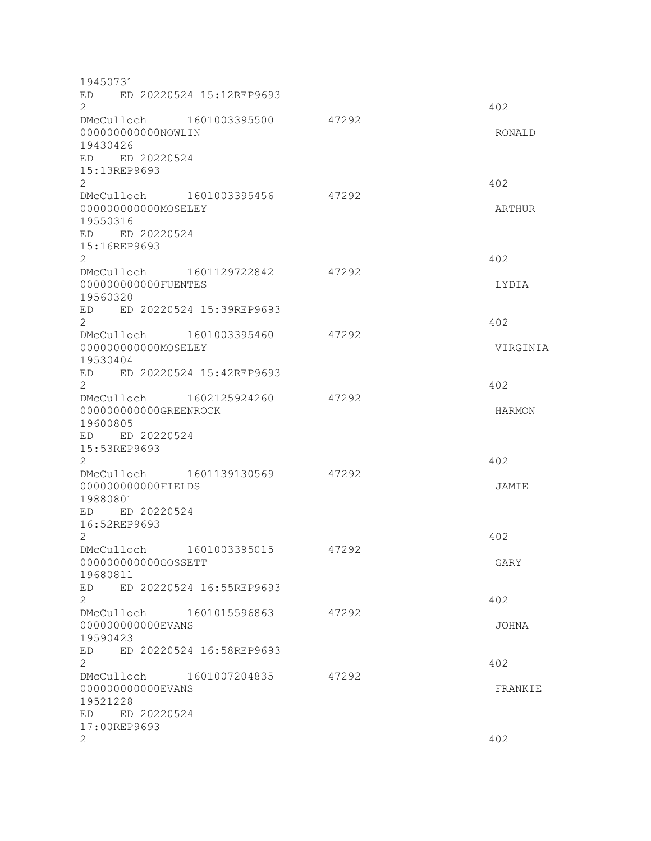| 19450731                                                                      |                          |       |          |
|-------------------------------------------------------------------------------|--------------------------|-------|----------|
| ED<br>$\mathbf{2}^{\prime}$                                                   | ED 20220524 15:12REP9693 |       | 402      |
| DMcCulloch 1601003395500<br>000000000000NOWLIN<br>19430426                    |                          | 47292 | RONALD   |
| ED ED 20220524<br>15:13REP9693<br>2                                           |                          |       | 402      |
| DMcCulloch 1601003395456<br>000000000000MOSELEY<br>19550316<br>ED ED 20220524 |                          | 47292 | ARTHUR   |
| 15:16REP9693<br>2<br>DMcCulloch 1601129722842                                 |                          | 47292 | 402      |
| 000000000000FUENTES<br>19560320                                               |                          |       | LYDIA    |
| ED<br>$\overline{2}$                                                          | ED 20220524 15:39REP9693 |       | 402      |
| DMcCulloch 1601003395460<br>000000000000MOSELEY<br>19530404                   |                          | 47292 | VIRGINIA |
| ED ED 20220524 15:42REP9693<br>$\overline{2}$<br>DMcCulloch 1602125924260     |                          | 47292 | 402      |
| 000000000000GREENROCK<br>19600805<br>ED ED 20220524                           |                          |       | HARMON   |
| 15:53REP9693<br>2<br>DMcCulloch 1601139130569                                 |                          | 47292 | 402      |
| 000000000000FIELDS<br>19880801<br>ED ED 20220524                              |                          |       | JAMIE    |
| 16:52REP9693<br>2                                                             |                          |       | 402      |
| DMcCulloch<br>000000000000GOSSETT<br>19680811                                 | 1601003395015            | 47292 | GARY     |
| ED<br>$\overline{2}$<br>DMcCulloch 1601015596863                              | ED 20220524 16:55REP9693 | 47292 | 402      |
| 00000000000EVANS<br>19590423                                                  |                          |       | JOHNA    |
| ED<br>$\mathbf{2}$<br>DMcCulloch 1601007204835                                | ED 20220524 16:58REP9693 | 47292 | 402      |
| 00000000000EVANS<br>19521228<br>ED ED 20220524                                |                          |       | FRANKIE  |
| 17:00REP9693<br>2                                                             |                          |       | 402      |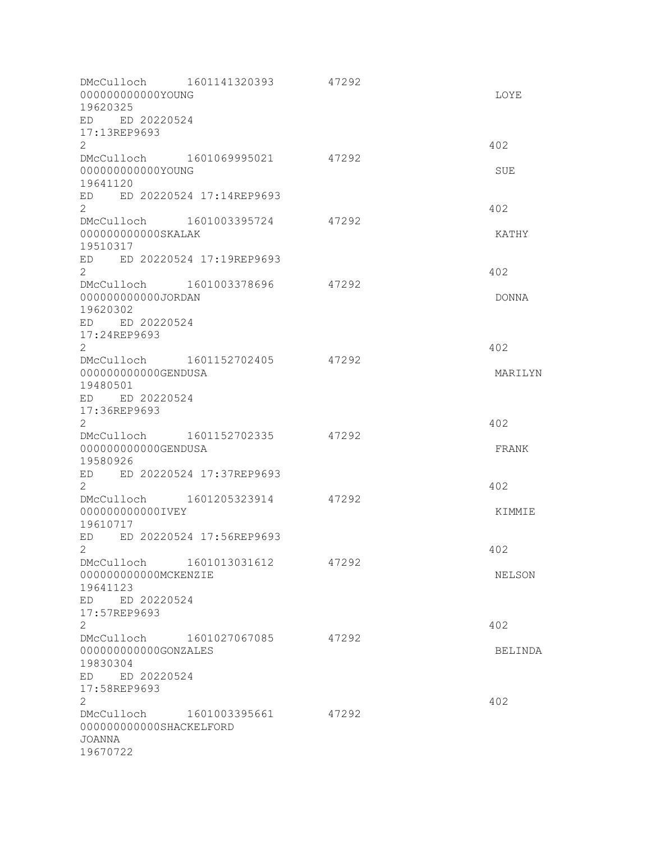| DMcCulloch 1601141320393<br>000000000000YOUNG<br>19620325<br>ED ED 20220524                    |                          | 47292 | LOYE           |
|------------------------------------------------------------------------------------------------|--------------------------|-------|----------------|
| 17:13REP9693<br>$\mathbf{2}$                                                                   |                          |       | 402            |
| DMcCulloch 1601069995021<br>000000000000YOUNG<br>19641120                                      |                          | 47292 | SUE            |
| ED ED 20220524 17:14REP9693<br>$\overline{2}$                                                  |                          |       | 402            |
| DMcCulloch<br>000000000000SKALAK<br>19510317<br>ED ED 20220524 17:19REP9693                    | 1601003395724            | 47292 | KATHY          |
| $\mathbf{2}^{\prime}$<br>DMcCulloch 1601003378696                                              |                          | 47292 | 402            |
| 000000000000JORDAN<br>19620302<br>ED ED 20220524                                               |                          |       | DONNA          |
| 17:24REP9693<br>$\mathbf{2}^{\prime}$<br>DMcCulloch 1601152702405<br>000000000000GENDUSA       |                          | 47292 | 402<br>MARILYN |
| 19480501<br>ED ED 20220524<br>17:36REP9693<br>2                                                |                          |       | 402            |
| DMcCulloch 1601152702335<br>000000000000GENDUSA<br>19580926                                    |                          | 47292 | FRANK          |
| ED ED 20220524 17:37REP9693<br>2                                                               |                          |       | 402            |
| DMcCulloch 1601205323914<br>000000000000IVEY<br>19610717                                       |                          | 47292 | KIMMIE         |
| ED<br>$\mathbf{2}$                                                                             | ED 20220524 17:56REP9693 |       | 402            |
| DMcCulloch 1601013031612<br>000000000000MCKENZIE<br>19641123<br>ED ED 20220524<br>17:57REP9693 |                          | 47292 | NELSON         |
| 2                                                                                              | DMcCulloch 1601027067085 | 47292 | 402            |
| 000000000000GONZALES<br>19830304<br>ED ED 20220524<br>17:58REP9693                             |                          |       | BELINDA        |
| 2<br>DMcCulloch 1601003395661<br>000000000000SHACKELFORD<br>JOANNA<br>19670722                 |                          | 47292 | 402            |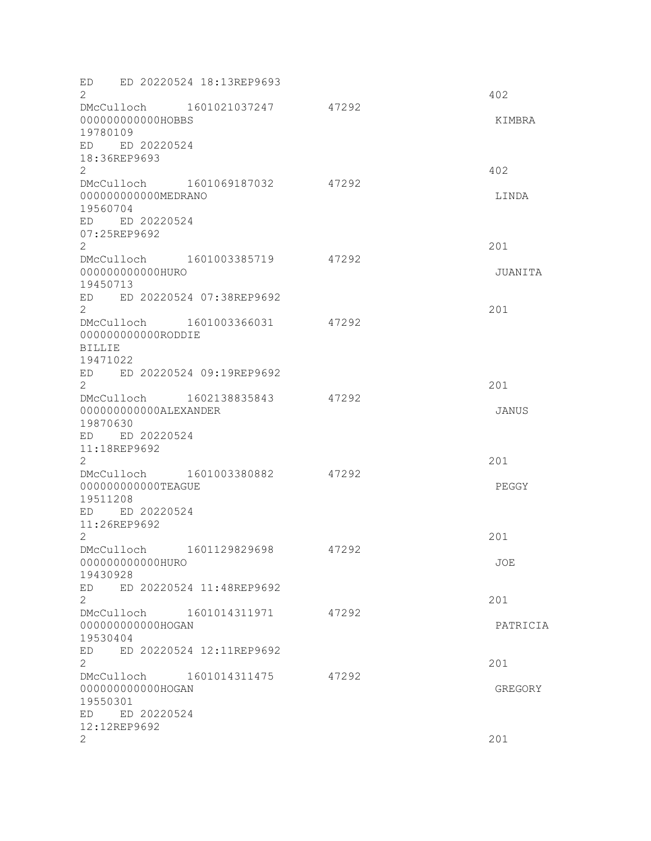| ED ED 20220524 18:13REP9693<br>2<br>DMcCulloch 1601021037247 47292<br>000000000000HOBBS<br>19780109<br>ED ED 20220524<br>18:36REP9693 |       | 402<br>KIMBRA   |
|---------------------------------------------------------------------------------------------------------------------------------------|-------|-----------------|
| $\mathbf{2}^{\prime}$<br>DMcCulloch 1601069187032<br>000000000000MEDRANO<br>19560704<br>ED ED 20220524<br>07:25REP9692                | 47292 | 402<br>LINDA    |
| $\overline{2}$<br>DMcCulloch 1601003385719<br>000000000000HURO<br>19450713<br>ED ED 20220524 07:38REP9692                             | 47292 | 201<br>JUANITA  |
| $\overline{2}$<br>DMcCulloch 1601003366031<br>00000000000RODDIE<br><b>BILLIE</b><br>19471022<br>ED ED 20220524 09:19REP9692           | 47292 | 201             |
| $\overline{2}$<br>DMcCulloch 1602138835843<br>000000000000ALEXANDER<br>19870630<br>ED ED 20220524<br>11:18REP9692                     | 47292 | 201<br>JANUS    |
| 2<br>DMcCulloch 1601003380882<br>000000000000TEAGUE<br>19511208<br>ED ED 20220524<br>11:26REP9692                                     | 47292 | 201<br>PEGGY    |
| $\overline{2}$<br>1601129829698<br>DMcCulloch<br>000000000000HURO<br>19430928<br>ED 20220524 11:48REP9692<br>ED                       | 47292 | 201<br>JOE      |
| $\mathbf{2}$<br>DMcCulloch 1601014311971<br>000000000000HOGAN<br>19530404<br>ED 20220524 12:11REP9692<br>ED                           | 47292 | 201<br>PATRICIA |
| $\overline{2}$<br>DMcCulloch 1601014311475<br>000000000000HOGAN<br>19550301<br>ED ED 20220524                                         | 47292 | 201<br>GREGORY  |
| 12:12REP9692<br>2                                                                                                                     |       | 201             |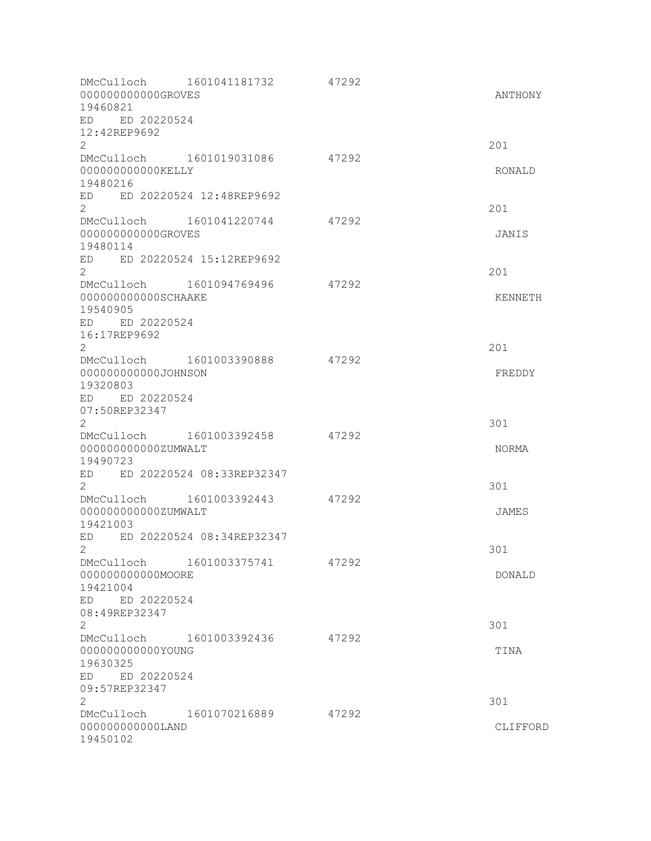| 00000000000GROVES<br>19460821<br>ED ED 20220524                  | DMcCulloch 1601041181732     | 47292 | ANTHONY         |
|------------------------------------------------------------------|------------------------------|-------|-----------------|
| 12:42REP9692<br>$\overline{2}$                                   |                              |       | 201             |
| 000000000000KELLY<br>19480216                                    | DMcCulloch 1601019031086     | 47292 | RONALD          |
| $\overline{2}$                                                   | ED ED 20220524 12:48REP9692  |       | 201             |
| 00000000000GROVES<br>19480114                                    | DMcCulloch 1601041220744     | 47292 | JANIS           |
| $\overline{2}$                                                   | ED ED 20220524 15:12REP9692  |       | 201             |
| DMcCulloch<br>000000000000SCHAAKE<br>19540905<br>ED ED 20220524  | 1601094769496                | 47292 | KENNETH         |
| 16:17REP9692<br>$\overline{2}$                                   |                              |       | 201             |
| 000000000000JOHNSON<br>19320803<br>ED ED 20220524                | DMcCulloch 1601003390888     | 47292 | FREDDY          |
| 07:50REP32347<br>$\overline{2}$                                  |                              |       | 301             |
| DMcCulloch<br>000000000000ZUMWALT<br>19490723                    | 1601003392458                | 47292 | NORMA           |
| $\mathbf{2}^{\prime}$                                            | ED ED 20220524 08:33REP32347 |       | 301             |
| DMcCulloch<br>000000000000ZUMWALT<br>19421003                    | 1601003392443                | 47292 | JAMES           |
| ED<br>2                                                          | ED 20220524 08:34REP32347    |       | 301             |
| 00000000000MOORE<br>19421004<br>ED ED 20220524                   | DMcCulloch 1601003375741     | 47292 | DONALD          |
| 08:49REP32347<br>$\mathbf{2}$                                    |                              |       | 301             |
| 000000000000YOUNG<br>19630325<br>ED ED 20220524<br>09:57REP32347 | DMcCulloch 1601003392436     | 47292 | TINA            |
| 2<br>000000000000LAND<br>19450102                                | DMcCulloch 1601070216889     | 47292 | 301<br>CLIFFORD |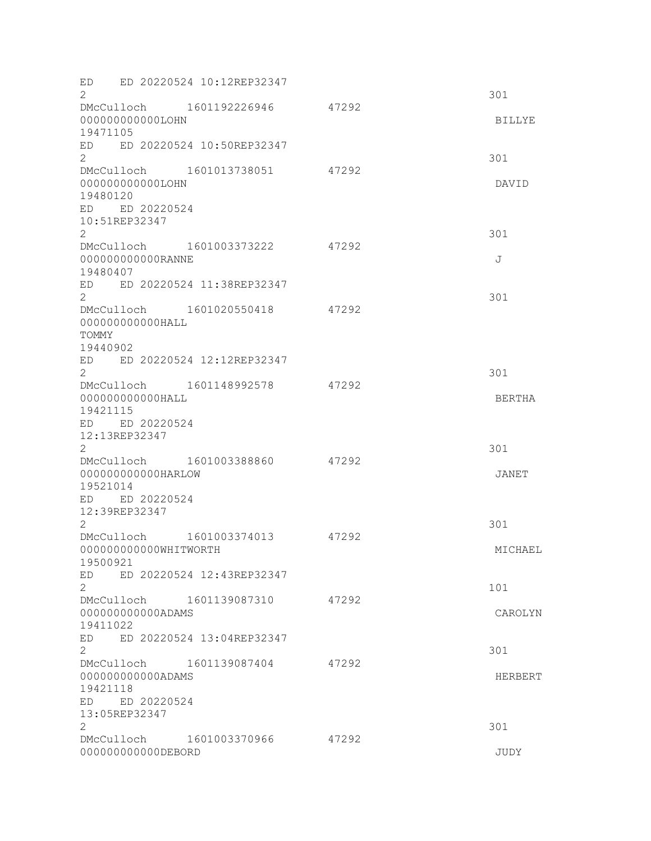ED ED 20220524 10:12REP32347  $2\overline{301}$ DMcCulloch 1601192226946 47292 000000000000LOHN BILLYE 19471105 ED ED 20220524 10:50REP32347  $2 \times 301$ DMcCulloch 1601013738051 47292 000000000000LOHN DAVID 19480120 ED ED 20220524 10:51REP32347 2 301 DMcCulloch 1601003373222 47292 000000000000000RANNE J 19480407 ED ED 20220524 11:38REP32347  $2 \times 301$ DMcCulloch 1601020550418 47292 000000000000HALL TOMMY 19440902 ED ED 20220524 12:12REP32347  $2\overline{301}$ DMcCulloch 1601148992578 47292 000000000000HALL BERTHA 19421115 ED ED 20220524 12:13REP32347  $2\overline{301}$ DMcCulloch 1601003388860 47292 000000000000HARLOW JANET 19521014 ED ED 20220524 12:39REP32347  $2 \times 301$ DMcCulloch 1601003374013 47292 000000000000WHITWORTH MICHAEL 19500921 ED ED 20220524 12:43REP32347  $2 \t 101$ DMcCulloch 1601139087310 47292 000000000000ADAMS CAROLYN 19411022 ED ED 20220524 13:04REP32347 2 301 DMcCulloch 1601139087404 47292 000000000000ADAMS HERBERT 19421118 ED ED 20220524 13:05REP32347  $2\overline{301}$ DMcCulloch 1601003370966 47292 000000000000DEBORD JUDY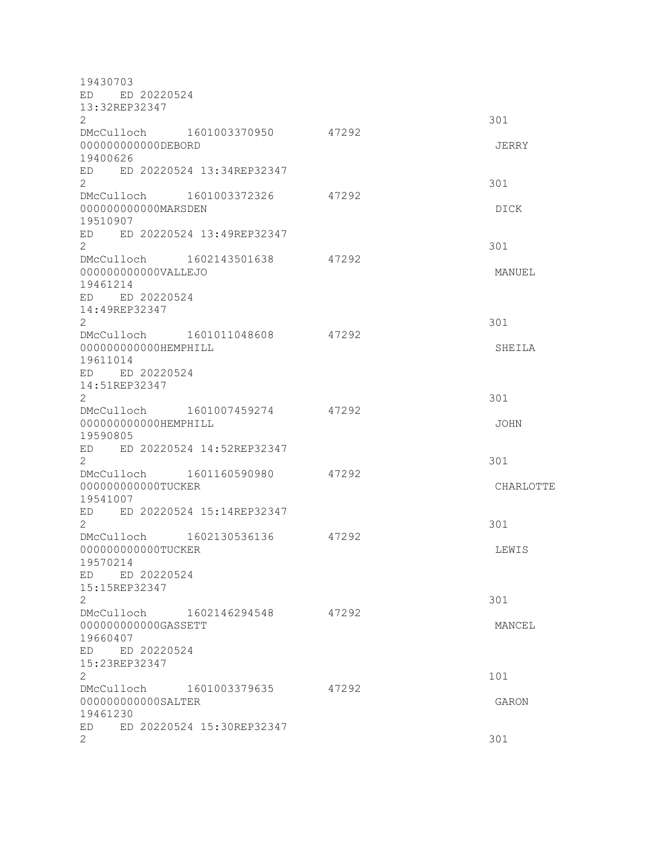| 19430703<br>ED ED 20220524<br>13:32REP32347                                                         |       |              |
|-----------------------------------------------------------------------------------------------------|-------|--------------|
| 2<br>DMcCulloch 1601003370950                                                                       | 47292 | 301          |
| 00000000000DEBORD<br>19400626                                                                       |       | <b>JERRY</b> |
| ED 20220524 13:34REP32347<br>ED<br>$\overline{2}$                                                   |       | 301          |
| DMcCulloch 1601003372326<br>00000000000MARSDEN<br>19510907                                          | 47292 | DICK         |
| ED 20220524 13:49REP32347<br>ED<br>$\overline{2}$                                                   |       | 301          |
| DMcCulloch 1602143501638<br>000000000000VALLEJO<br>19461214<br>ED ED 20220524                       | 47292 | MANUEL       |
| 14:49REP32347<br>$\overline{2}$                                                                     |       | 301          |
| DMcCulloch 1601011048608<br>000000000000HEMPHILL<br>19611014                                        | 47292 | SHEILA       |
| ED ED 20220524<br>14:51REP32347<br>$\overline{2}$                                                   |       | 301          |
| DMcCulloch 1601007459274<br>000000000000HEMPHILL<br>19590805                                        | 47292 | <b>JOHN</b>  |
| ED ED 20220524 14:52REP32347<br>$\overline{2}$                                                      |       | 301          |
| DMcCulloch 1601160590980<br>000000000000TUCKER<br>19541007                                          | 47292 | CHARLOTTE    |
| ED ED 20220524 15:14REP32347<br>$\overline{2}$                                                      |       | 301          |
| DMcCulloch 1602130536136<br>000000000000TUCKER<br>19570214<br>ED ED 20220524                        | 47292 | LEWIS        |
| 15:15REP32347<br>$\overline{2}$                                                                     |       | 301          |
| DMcCulloch 1602146294548 47292<br>00000000000GASSETT<br>19660407<br>ED ED 20220524<br>15:23REP32347 |       | MANCEL       |
| $\overline{2}$                                                                                      |       | 101          |
| DMcCulloch 1601003379635 47292<br>000000000000SALTER<br>19461230                                    |       | GARON        |
| ED ED 20220524 15:30REP32347<br>2                                                                   |       | 301          |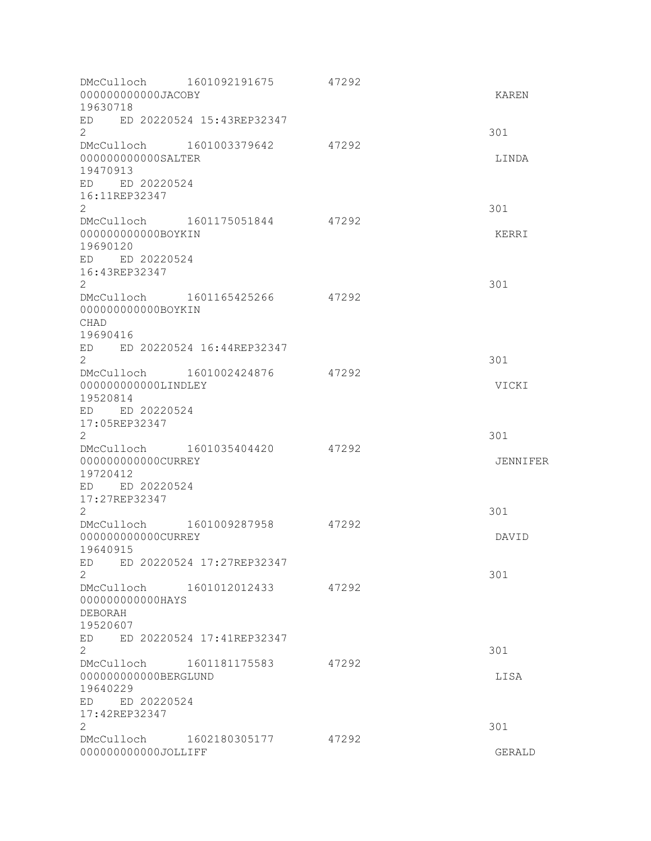| 000000000000JACOBY<br>19630718                                                                                  | DMcCulloch 1601092191675                                 | 47292 | KAREN               |
|-----------------------------------------------------------------------------------------------------------------|----------------------------------------------------------|-------|---------------------|
| ED<br>2                                                                                                         | ED 20220524 15:43REP32347                                |       | 301                 |
| 000000000000SALTER<br>19470913<br>ED ED 20220524<br>16:11REP32347                                               | DMcCulloch 1601003379642 47292                           |       | LINDA               |
| $\overline{2}$<br>000000000000BOYKIN<br>19690120<br>ED ED 20220524<br>16:43REP32347<br>$\mathbf{2}^{\prime}$    | DMcCulloch 1601175051844                                 | 47292 | 301<br>KERRI<br>301 |
| 000000000000BOYKIN<br><b>CHAD</b><br>19690416                                                                   | DMcCulloch 1601165425266<br>ED ED 20220524 16:44REP32347 | 47292 |                     |
| $\overline{2}$<br>DMcCulloch 1601002424876<br>000000000000LINDLEY<br>19520814<br>ED ED 20220524                 |                                                          | 47292 | 301<br>VICKI        |
| 17:05REP32347<br>$\overline{2}$<br>DMcCulloch 1601035404420<br>000000000000CURREY<br>19720412<br>ED ED 20220524 |                                                          | 47292 | 301<br>JENNIFER     |
| 17:27REP32347<br>$\mathbf{2}^{\prime}$<br>DMcCulloch<br>000000000000CURREY<br>19640915                          | 1601009287958<br>ED ED 20220524 17:27REP32347            | 47292 | 301<br>DAVID        |
| $\overline{2}$<br>DMcCulloch 1601012012433<br>000000000000HAYS<br>DEBORAH<br>19520607                           |                                                          | 47292 | 301                 |
| ED<br>2<br>DMcCulloch 1601181175583<br>000000000000BERGLUND<br>19640229<br>ED ED 20220524<br>17:42REP32347      | ED 20220524 17:41REP32347                                | 47292 | 301<br>LISA         |
| 2<br>DMcCulloch 1602180305177<br>000000000000JOLLIFF                                                            |                                                          | 47292 | 301<br>GERALD       |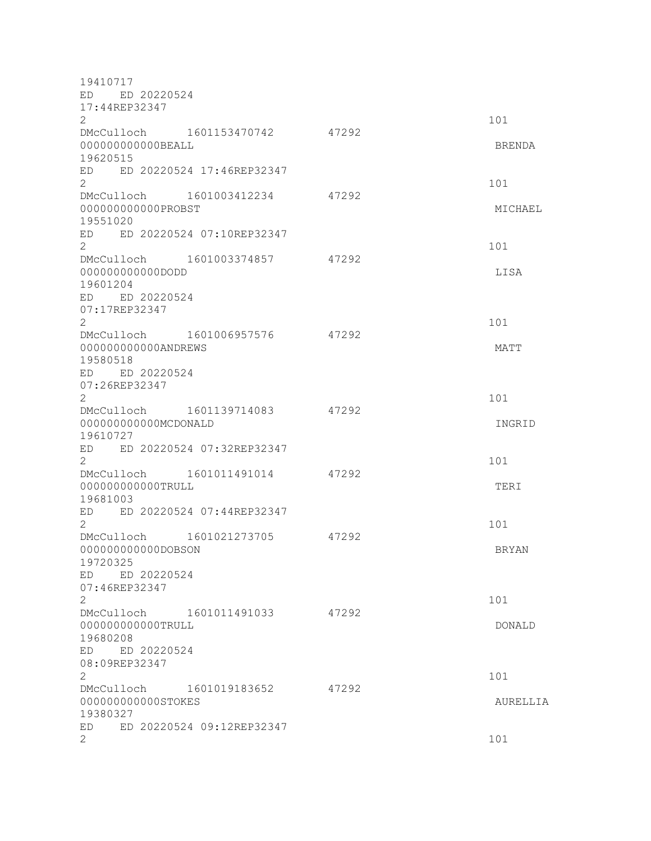| 19410717                                       |       |              |
|------------------------------------------------|-------|--------------|
| ED ED 20220524                                 |       |              |
| 17:44REP32347<br>$\overline{2}$                |       | 101          |
| DMcCulloch 1601153470742 47292                 |       |              |
| 000000000000BEALL                              |       | BRENDA       |
| 19620515                                       |       |              |
| ED ED 20220524 17:46REP32347<br>$\overline{2}$ |       | 101          |
| DMcCulloch 1601003412234                       | 47292 |              |
| 000000000000PROBST                             |       | MICHAEL      |
| 19551020<br>ED ED 20220524 07:10REP32347       |       |              |
| $\overline{2}$                                 |       | 101          |
| DMcCulloch 1601003374857 47292                 |       |              |
| 000000000000DODD<br>19601204                   |       | LISA         |
| ED ED 20220524                                 |       |              |
| 07:17REP32347<br>$\mathbf{2}^{\prime}$         |       | 101          |
| DMcCulloch 1601006957576                       | 47292 |              |
| 000000000000ANDREWS<br>19580518                |       | MATT         |
| ED ED 20220524                                 |       |              |
| 07:26REP32347                                  |       |              |
| $\overline{2}$                                 |       | 101          |
| DMcCulloch 1601139714083                       | 47292 |              |
| 000000000000MCDONALD                           |       | INGRID       |
| 19610727<br>ED ED 20220524 07:32REP32347       |       |              |
| $\overline{2}$                                 |       | 101          |
| DMcCulloch 1601011491014 47292                 |       |              |
| 000000000000TRULL                              |       | TERI         |
| 19681003<br>ED ED 20220524 07:44REP32347       |       |              |
| 2                                              |       | 101          |
| DMcCulloch 1601021273705                       | 47292 |              |
| 000000000000DOBSON                             |       | <b>BRYAN</b> |
| 19720325                                       |       |              |
| ED ED 20220524                                 |       |              |
| 07:46REP32347<br>2                             |       | 101          |
| DMcCulloch 1601011491033                       | 47292 |              |
| 000000000000TRULL                              |       | DONALD       |
| 19680208                                       |       |              |
| ED ED 20220524                                 |       |              |
| 08:09REP32347<br>2                             |       | 101          |
| DMcCulloch 1601019183652                       | 47292 |              |
| 000000000000STOKES                             |       | AURELLIA     |
| 19380327                                       |       |              |
| ED 20220524 09:12REP32347<br>ED.               |       |              |
| 2                                              |       | 101          |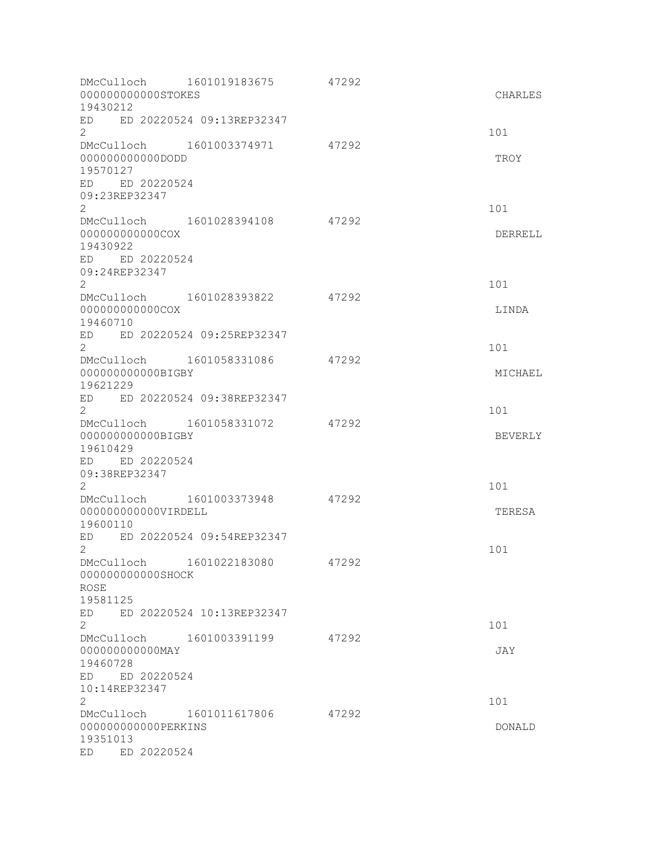| 000000000000STOKES<br>19430212                                                                         | DMcCulloch 1601019183675       | 47292 | CHARLES        |
|--------------------------------------------------------------------------------------------------------|--------------------------------|-------|----------------|
| ED<br>2                                                                                                | ED 20220524 09:13REP32347      |       | 101            |
| 000000000000DODD<br>19570127                                                                           | DMcCulloch 1601003374971 47292 |       | TROY           |
| ED ED 20220524<br>09:23REP32347<br>$\overline{2}$                                                      |                                |       | 101            |
| DMcCulloch 1601028394108<br>000000000000COX<br>19430922<br>ED ED 20220524<br>09:24REP32347<br>2        |                                | 47292 | DERRELL<br>101 |
| DMcCulloch 1601028393822<br>000000000000COX<br>19460710                                                |                                | 47292 | LINDA          |
| ED ED 20220524 09:25REP32347<br>2<br>DMcCulloch 1601058331086<br>000000000000BIGBY                     |                                | 47292 | 101            |
| 19621229<br>ED ED 20220524 09:38REP32347<br>$\overline{2}$                                             |                                |       | MICHAEL<br>101 |
| DMcCulloch 1601058331072<br>000000000000BIGBY<br>19610429                                              |                                | 47292 | BEVERLY        |
| ED ED 20220524<br>09:38REP32347<br>2                                                                   |                                |       | 101            |
| DMcCulloch 1601003373948<br>000000000000VIRDELL<br>19600110                                            |                                | 47292 | TERESA         |
| ED<br>2<br>DMcCulloch 1601022183080                                                                    | ED 20220524 09:54REP32347      | 47292 | 101            |
| 000000000000SHOCK<br><b>ROSE</b><br>19581125                                                           |                                |       |                |
| ED<br>$\overline{2}$                                                                                   | ED 20220524 10:13REP32347      |       | 101            |
| DMcCulloch 1601003391199<br>000000000000MAY<br>19460728<br>ED 20220524<br>ED                           |                                | 47292 | JAY            |
| 10:14REP32347<br>2<br>DMcCulloch 1601011617806<br>000000000000PERKINS<br>19351013<br>ED 20220524<br>ED |                                | 47292 | 101<br>DONALD  |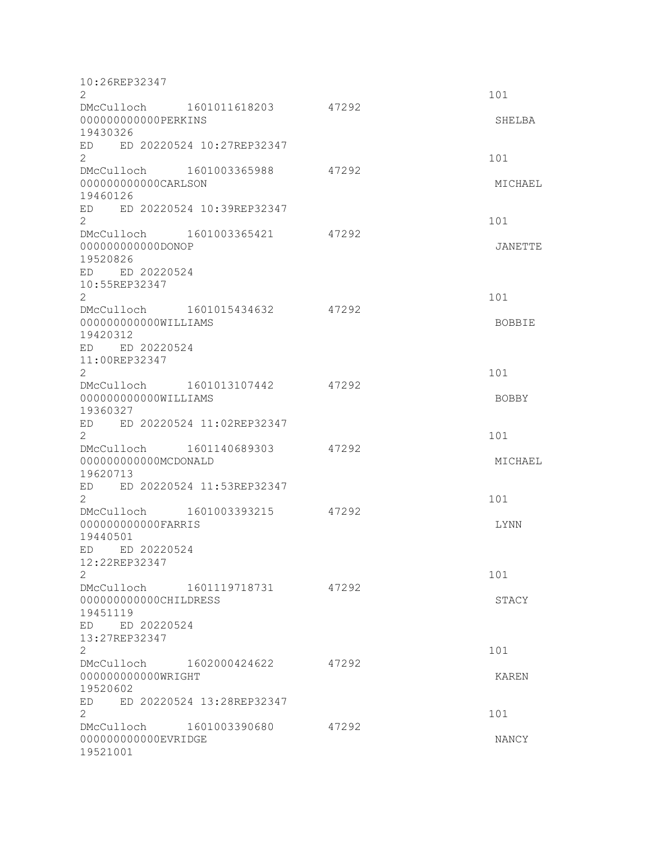| 10:26REP32347                                                               |                                |       |                     |
|-----------------------------------------------------------------------------|--------------------------------|-------|---------------------|
| $\overline{2}$                                                              |                                |       | 101                 |
| 000000000000PERKINS<br>19430326                                             | DMcCulloch 1601011618203 47292 |       | SHELBA              |
| ED ED 20220524 10:27REP32347<br>$\overline{2}$                              |                                |       | 101                 |
| DMcCulloch 1601003365988<br>000000000000CARLSON<br>19460126                 |                                | 47292 | MICHAEL             |
| ED<br>$\overline{2}$                                                        | ED 20220524 10:39REP32347      |       | 101                 |
| DMcCulloch 1601003365421<br>000000000000DONOP<br>19520826<br>ED ED 20220524 |                                | 47292 | JANETTE             |
| 10:55REP32347<br>$\mathbf{2}$                                               |                                |       | 101                 |
| DMcCulloch 1601015434632<br>000000000000WILLIAMS<br>19420312                |                                | 47292 | BOBBIE              |
| ED ED 20220524<br>11:00REP32347                                             |                                |       |                     |
| $\overline{2}$<br>DMcCulloch 1601013107442<br>000000000000WILLIAMS          |                                | 47292 | 101<br><b>BOBBY</b> |
| 19360327<br>ED ED 20220524 11:02REP32347<br>$\overline{2}$                  |                                |       | 101                 |
| DMcCulloch 1601140689303<br>000000000000MCDONALD                            |                                | 47292 | MICHAEL             |
| 19620713<br>ED ED 20220524 11:53REP32347<br>$\overline{2}$                  |                                |       | 101                 |
| DMcCulloch 1601003393215<br>00000000000FARRIS<br>19440501                   |                                | 47292 | <b>LYNN</b>         |
| ED 20220524<br>ED<br>12:22REP32347                                          |                                |       |                     |
| $\mathbf{2}$<br>000000000000CHILDRESS                                       | DMcCulloch 1601119718731 47292 |       | 101<br>STACY        |
| 19451119<br>ED ED 20220524<br>13:27REP32347<br>$\overline{c}$               |                                |       | 101                 |
| DMcCulloch 1602000424622<br>000000000000WRIGHT<br>19520602                  |                                | 47292 | <b>KAREN</b>        |
| ED<br>$\overline{2}$                                                        | ED 20220524 13:28REP32347      |       | 101                 |
| DMcCulloch 1601003390680<br>000000000000EVRIDGE<br>19521001                 |                                | 47292 | NANCY               |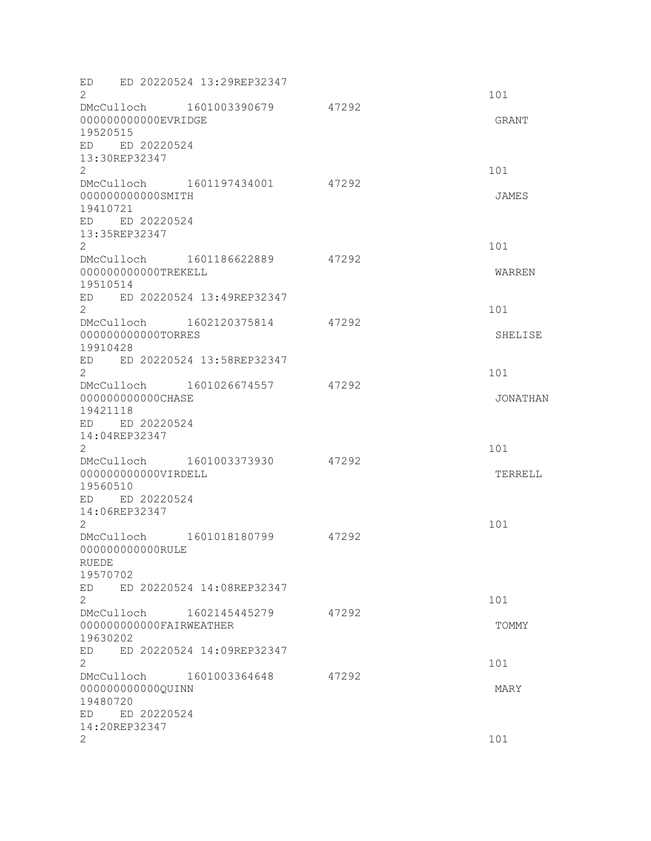| ED ED 20220524 13:29REP32347<br>2<br>DMcCulloch 1601003390679                                                        | 47292 | 101                    |
|----------------------------------------------------------------------------------------------------------------------|-------|------------------------|
| 000000000000EVRIDGE<br>19520515<br>ED ED 20220524<br>13:30REP32347<br>$\overline{2}$                                 |       | GRANT<br>101           |
| DMcCulloch 1601197434001 47292<br>000000000000SMITH<br>19410721<br>ED ED 20220524<br>13:35REP32347<br>$\overline{2}$ |       | JAMES<br>101           |
| DMcCulloch 1601186622889<br>000000000000TREKELL<br>19510514<br>ED ED 20220524 13:49REP32347                          | 47292 | WARREN                 |
| $\overline{2}$<br>DMcCulloch 1602120375814<br>000000000000TORRES<br>19910428<br>ED ED 20220524 13:58REP32347         | 47292 | 101<br>SHELISE         |
| $\mathbf{2}^{\prime}$<br>DMcCulloch 1601026674557<br>00000000000CHASE<br>19421118<br>ED ED 20220524<br>14:04REP32347 | 47292 | 101<br><b>JONATHAN</b> |
| 2<br>DMcCulloch 1601003373930<br>000000000000VIRDELL<br>19560510<br>ED ED 20220524<br>14:06REP32347                  | 47292 | 101<br>TERRELL         |
| 2<br>DMcCulloch 1601018180799<br>000000000000RULE<br><b>RUEDE</b><br>19570702<br>ED 20220524 14:08REP32347<br>ED     | 47292 | 101                    |
| 2<br>DMcCulloch 1602145445279<br>000000000000FAIRWEATHER<br>19630202<br>ED 20220524 14:09REP32347<br>ED              | 47292 | 101<br>TOMMY           |
| $\overline{2}$<br>DMcCulloch 1601003364648<br>000000000000QUINN<br>19480720<br>ED ED 20220524                        | 47292 | 101<br>MARY            |
| 14:20REP32347<br>2                                                                                                   |       | 101                    |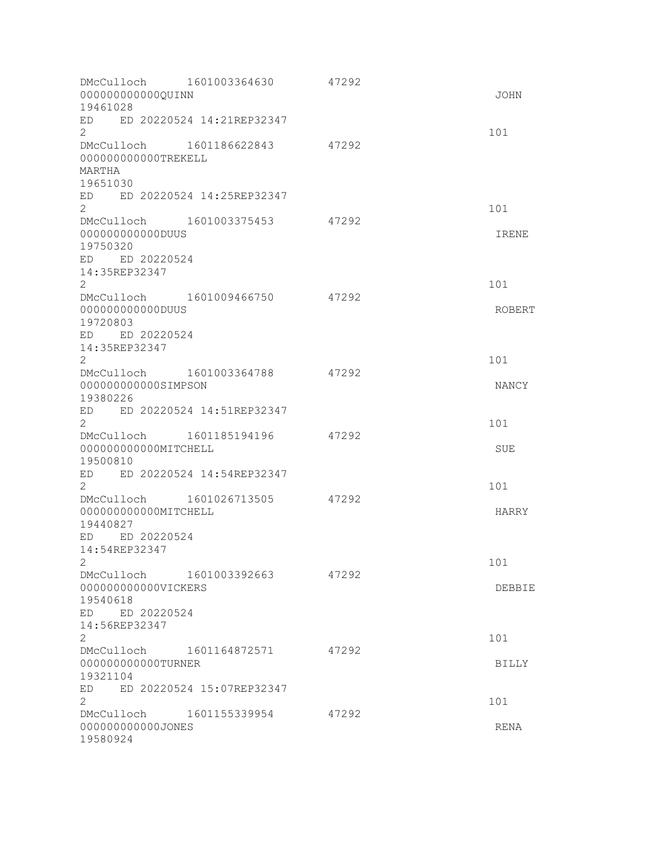| DMcCulloch 1601003364630<br>000000000000QUINN<br>19461028                                                            | 47292 | JOHN         |
|----------------------------------------------------------------------------------------------------------------------|-------|--------------|
| ED 20220524 14:21REP32347<br>ED<br>2                                                                                 |       | 101          |
| DMcCulloch 1601186622843<br>000000000000TREKELL<br>MARTHA<br>19651030                                                | 47292 |              |
| ED 20220524 14:25REP32347<br>ED<br>$\overline{2}$                                                                    |       | 101          |
| DMcCulloch 1601003375453<br>000000000000DUUS<br>19750320<br>ED ED 20220524<br>14:35REP32347<br>$\mathbf{2}^{\prime}$ | 47292 | IRENE<br>101 |
| DMcCulloch 1601009466750<br>000000000000DUUS<br>19720803<br>ED ED 20220524                                           | 47292 | ROBERT       |
| 14:35REP32347<br>$\overline{2}$                                                                                      |       | 101          |
| DMcCulloch 1601003364788<br>000000000000SIMPSON<br>19380226                                                          | 47292 | NANCY        |
| ED 20220524 14:51REP32347<br>ED<br>$\mathbf{2}^{\prime}$                                                             |       | 101          |
| DMcCulloch 1601185194196<br>000000000000MITCHELL<br>19500810                                                         | 47292 | <b>SUE</b>   |
| ED 20220524 14:54REP32347<br>ED<br>2                                                                                 |       | 101          |
| 1601026713505<br>DMcCulloch<br>000000000000MITCHELL<br>19440827                                                      | 47292 | HARRY        |
| ED 20220524<br>ED.<br>14:54REP32347<br>2                                                                             |       | 101          |
| DMcCulloch 1601003392663<br>000000000000VICKERS<br>19540618<br>ED ED 20220524                                        | 47292 | DEBBIE       |
| 14:56REP32347<br>2                                                                                                   |       | 101          |
| DMcCulloch 1601164872571<br>000000000000TURNER<br>19321104                                                           | 47292 | <b>BILLY</b> |
| ED 20220524 15:07REP32347<br>ED<br>2                                                                                 |       | 101          |
| DMcCulloch 1601155339954<br>000000000000JONES<br>19580924                                                            | 47292 | RENA         |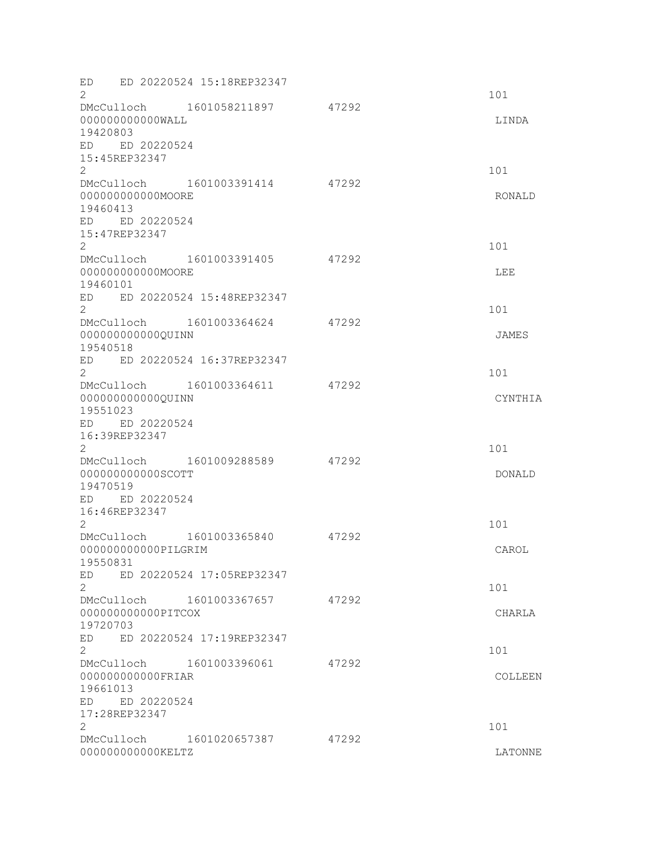| ED<br>$\overline{2}$                                                    | ED 20220524 15:18REP32347                                |       | 101                  |
|-------------------------------------------------------------------------|----------------------------------------------------------|-------|----------------------|
| 000000000000WALL<br>19420803                                            | DMcCulloch 1601058211897 47292                           |       | LINDA                |
| ED ED 20220524<br>15:45REP32347<br>$\overline{2}$                       |                                                          |       | 101                  |
| 000000000000MOORE<br>19460413<br>ED ED 20220524<br>15:47REP32347        | DMcCulloch 1601003391414                                 | 47292 | RONALD               |
| $\overline{2}$<br>00000000000MOORE<br>19460101                          | DMcCulloch 1601003391405                                 | 47292 | 101<br>LEE           |
| $\overline{2}$<br>000000000000QUINN                                     | ED ED 20220524 15:48REP32347<br>DMcCulloch 1601003364624 | 47292 | 101<br>JAMES         |
| 19540518<br>$\overline{2}$<br>000000000000QUINN<br>19551023             | ED ED 20220524 16:37REP32347<br>DMcCulloch 1601003364611 | 47292 | 101<br>CYNTHIA       |
| ED ED 20220524<br>16:39REP32347<br>2<br>000000000000SCOTT<br>19470519   | DMcCulloch 1601009288589                                 | 47292 | 101<br><b>DONALD</b> |
| ED ED 20220524<br>16:46REP32347<br>2<br>000000000000PILGRIM<br>19550831 | DMcCulloch 1601003365840                                 | 47292 | 101<br>CAROL         |
| ED.<br>$\overline{2}$<br>000000000000PITCOX<br>19720703                 | ED 20220524 17:05REP32347<br>DMcCulloch 1601003367657    | 47292 | 101<br>CHARLA        |
| ED.<br>$\mathbf{2}$<br>00000000000FRIAR<br>19661013                     | ED 20220524 17:19REP32347<br>DMcCulloch 1601003396061    | 47292 | 101<br>COLLEEN       |
| ED ED 20220524<br>17:28REP32347<br>2<br>00000000000KELTZ                | DMcCulloch 1601020657387                                 | 47292 | 101<br>LATONNE       |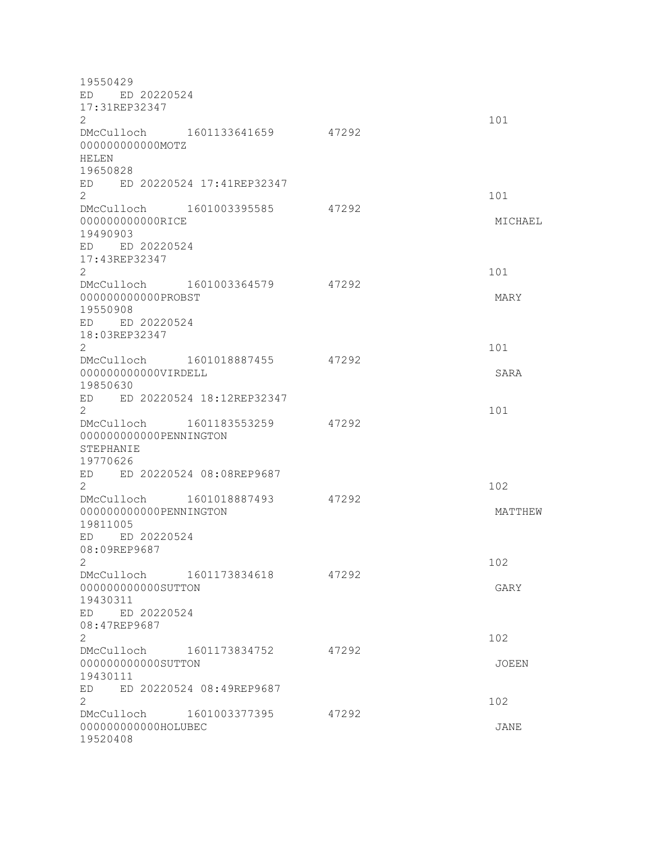19550429 ED ED 20220524 17:31REP32347  $2 \t 101$ DMcCulloch 1601133641659 47292 000000000000MOTZ HELEN 19650828 ED ED 20220524 17:41REP32347 2 101 DMcCulloch 1601003395585 47292 00000000000000RICE MICHAEL MICHAEL MICHAEL MICHAEL MICHAEL MICHAEL MICHAEL MICHAEL 19490903 ED ED 20220524 17:43REP32347  $2 \t 101$ DMcCulloch 1601003364579 47292 000000000000PROBST MARY 19550908 ED ED 20220524 18:03REP32347  $2 \t 101$ DMcCulloch 1601018887455 47292 000000000000VIRDELL SARA 19850630 ED ED 20220524 18:12REP32347  $2 \t 101$ DMcCulloch 1601183553259 47292 000000000000PENNINGTON STEPHANIE 19770626 ED ED 20220524 08:08REP9687  $2 \times 102$ DMcCulloch 1601018887493 47292 0000000000000PENNINGTON MATTHEW 19811005 ED ED 20220524 08:09REP9687  $2 \times 102$ DMcCulloch 1601173834618 47292 000000000000SUTTON GARY 19430311 ED ED 20220524 08:47REP9687  $2 \times 102$ DMcCulloch 1601173834752 47292 000000000000SUTTON JOEEN 19430111 ED ED 20220524 08:49REP9687 2 a contract to the contract of the contract of the contract of the contract of the contract of the contract of the contract of the contract of the contract of the contract of the contract of the contract of the contract o DMcCulloch 1601003377395 47292 000000000000HOLUBEC JANE 19520408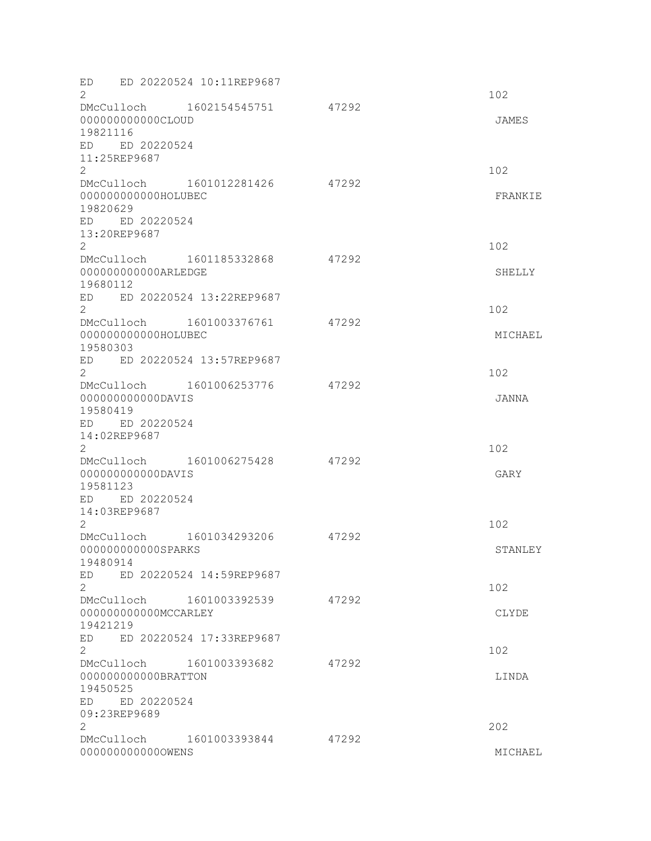| ED<br>$\overline{2}$                                                | ED 20220524 10:11REP9687                                |       | 102            |
|---------------------------------------------------------------------|---------------------------------------------------------|-------|----------------|
| 00000000000CLOUD<br>19821116                                        | DMcCulloch 1602154545751 47292                          |       | JAMES          |
| ED ED 20220524<br>11:25REP9687<br>$\overline{2}$                    |                                                         |       | 102            |
| 000000000000HOLUBEC<br>19820629<br>ED ED 20220524<br>13:20REP9687   | DMcCulloch 1601012281426                                | 47292 | FRANKIE        |
| $\overline{2}$<br>000000000000ARLEDGE<br>19680112                   | DMcCulloch 1601185332868                                | 47292 | 102<br>SHELLY  |
| $\overline{2}$                                                      | ED ED 20220524 13:22REP9687                             |       | 102            |
| 000000000000HOLUBEC<br>19580303                                     | DMcCulloch 1601003376761<br>ED ED 20220524 13:57REP9687 | 47292 | MICHAEL        |
| $\mathbf{2}^{\prime}$                                               | DMcCulloch 1601006253776                                | 47292 | 102            |
| 00000000000DAVIS<br>19580419<br>ED ED 20220524<br>14:02REP9687<br>2 |                                                         |       | JANNA<br>102   |
| 00000000000DAVIS<br>19581123<br>ED ED 20220524<br>14:03REP9687      | DMcCulloch 1601006275428                                | 47292 | GARY           |
| 2<br>000000000000SPARKS                                             | DMcCulloch 1601034293206                                | 47292 | 102<br>STANLEY |
| 19480914<br>ED<br>$\overline{2}$                                    | ED 20220524 14:59REP9687                                |       | 102            |
| 000000000000MCCARLEY<br>19421219                                    | DMcCulloch 1601003392539                                | 47292 | CLYDE          |
| ED.<br>$\mathbf{2}$                                                 | ED 20220524 17:33REP9687                                |       | 102            |
| 000000000000BRATTON<br>19450525<br>ED ED 20220524<br>09:23REP9689   | DMcCulloch 1601003393682                                | 47292 | LINDA          |
| 2                                                                   | DMcCulloch 1601003393844                                | 47292 | 202            |
| 0000000000000WENS                                                   |                                                         |       | MICHAEL        |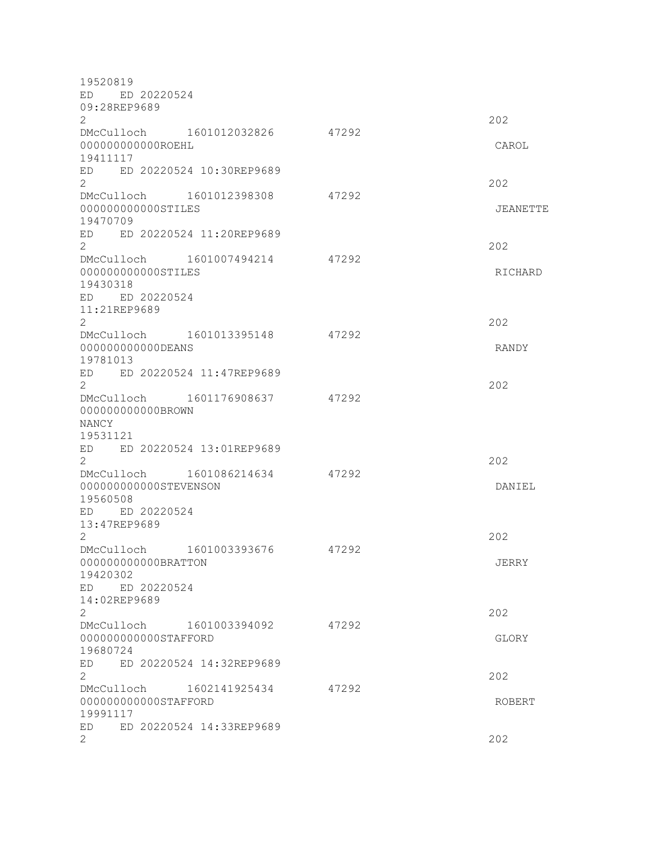| 19520819<br>ED ED 20220524                                                                  |       |          |
|---------------------------------------------------------------------------------------------|-------|----------|
| 09:28REP9689<br>$\overline{2}$<br>DMcCulloch 1601012032826                                  | 47292 | 202      |
| 00000000000ROEHL<br>19411117<br>ED ED 20220524 10:30REP9689                                 |       | CAROL    |
| $\overline{2}$                                                                              |       | 202      |
| DMcCulloch 1601012398308<br>000000000000STILES<br>19470709<br>ED ED 20220524 11:20REP9689   | 47292 | JEANETTE |
| $\overline{2}$<br>DMcCulloch 1601007494214                                                  | 47292 | 202      |
| 000000000000STILES<br>19430318<br>ED ED 20220524<br>11:21REP9689                            |       | RICHARD  |
| $\overline{2}$<br>DMcCulloch 1601013395148                                                  | 47292 | 202      |
| 000000000000DEANS<br>19781013<br>ED ED 20220524 11:47REP9689                                |       | RANDY    |
| $\overline{2}$<br>DMcCulloch 1601176908637<br>000000000000BROWN<br><b>NANCY</b><br>19531121 | 47292 | 202      |
| ED ED 20220524 13:01REP9689<br>$\overline{2}$                                               |       | 202      |
| DMcCulloch 1601086214634<br>000000000000STEVENSON<br>19560508<br>ED ED 20220524             | 47292 | DANIEL   |
| 13:47REP9689<br>$\overline{2}$                                                              |       | 202      |
| 1601003393676<br>DMcCulloch<br>000000000000BRATTON<br>19420302<br>ED ED 20220524            | 47292 | JERRY    |
| 14:02REP9689<br>$\overline{2}$                                                              |       | 202      |
| DMcCulloch 1601003394092<br>000000000000STAFFORD<br>19680724                                | 47292 | GLORY    |
| ED 20220524 14:32REP9689<br>ED<br>2                                                         |       | 202      |
| DMcCulloch 1602141925434<br>000000000000STAFFORD<br>19991117                                | 47292 | ROBERT   |
| ED 20220524 14:33REP9689<br>ED<br>$\overline{2}$                                            |       | 202      |